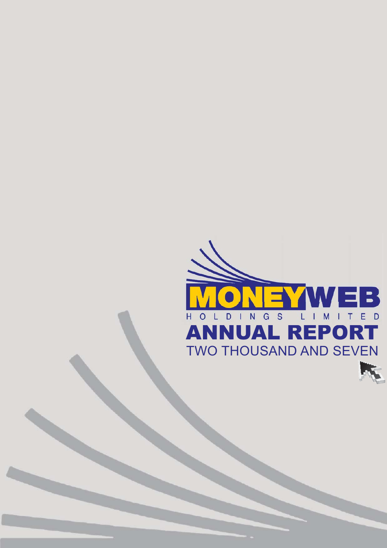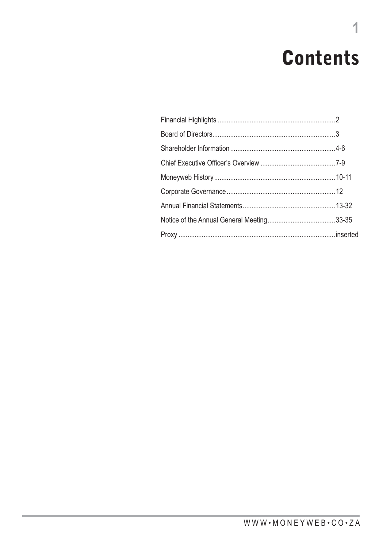## **Contents**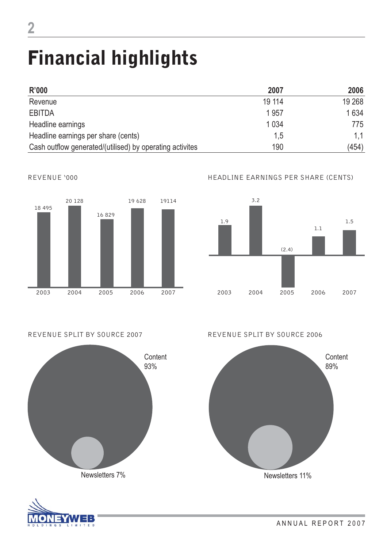# Financial highlights

| <b>R'000</b>                                             | 2007    | 2006   |
|----------------------------------------------------------|---------|--------|
| Revenue                                                  | 19 114  | 19 268 |
| <b>EBITDA</b>                                            | 1957    | 1634   |
| Headline earnings                                        | 1 0 3 4 | 775    |
| Headline earnings per share (cents)                      | 1,5     | 1.1    |
| Cash outflow generated/(utilised) by operating activites | 190     | (454)  |



**2**





Newsletters 7%



### REVENUE '000 HEADLINE EARNINGS PER SHARE (CENTS)



### REVENUE SPLIT BY SOURCE 2007 REVENUE SPLIT BY SOURCE 2006

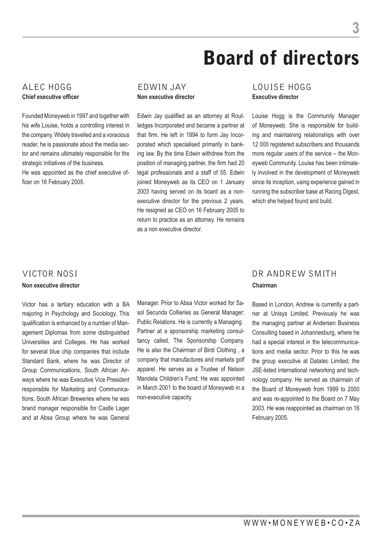## Board of directors

## **Chief executive officer**

Founded Moneyweb in 1997 and together with his wife Louise, holds a controlling interest in the company. Widely travelled and a voracious reader, he is passionate about the media sector and remains ultimately responsible for the strategic initiatives of the business.

He was appointed as the chief executive officer on 16 February 2005.

## **Non executive director**

Edwin Jay qualified as an attorney at Routledges Incorporated and became a partner at that firm. He left in 1994 to form Jay Incorporated which specialised primarily in banking law. By the time Edwin withdrew from the position of managing partner, the firm had 20 legal professionals and a staff of 55. Edwin joined Moneyweb as its CEO on 1 January 2003 having served on its board as a nonexecutive director for the previous 2 years. He resigned as CEO on 16 February 2005 to return to practice as an attorney. He remains as a non executive director.

### ALEC HOGG EDWIN JAY LOUISE HOGG **Executive director**

Louise Hogg is the Community Manager of Moneyweb. She is responsible for building and maintaining relationships with over 12 000 registered subscribers and thousands more regular users of the service – the Moneyweb Community. Louise has been intimate-Iy involved in the development of Moneyweb since its inception, using experience gained in running the subscriber base at Racing Digest, which she helped found and build.

#### **Non executive director**

Victor has a tertiary education with a BA majoring in Psychology and Sociology. This qualification is enhanced by a number of Management Diplomas from some distinguished Universities and Colleges. He has worked for several blue chip companies that include Standard Bank, where he was Director of Group Communications, South African Airways where he was Executive Vice President responsible for Marketing and Communications, South African Breweries where he was brand manager responsible for Castle Lager and at Absa Group where he was General Manager. Prior to Absa Victor worked for Sasol Secunda Collieries as General Manager: Public Relations. He is currently a Managing Partner at a sponsorship marketing consultancy called, The Sponsorship Company. He is also the Chairman of Birdi Clothing , a company that manufactures and markets golf apparel. He serves as a Trustee of Nelson Mandela Children's Fund; He was appointed in March 2001 to the board of Moneyweb in a non-executive capacity.

### VICTOR NOSI DR ANDREW SMITH Chairman

Based in London, Andrew is currently a partner at Unisys Limited. Previously he was the managing partner at Andersen Business Consulting based in Johannesburg, where he had a special interest in the telecommunications and media sector. Prior to this he was the group executive at Datatec Limited, the JSE-listed international networking and technology company. He served as chairmain of the Board of Moneyweb from 1999 to 2000 and was re-appointed to the Board on 7 May 2003. He was reappointed as chairman on 16 February 2005.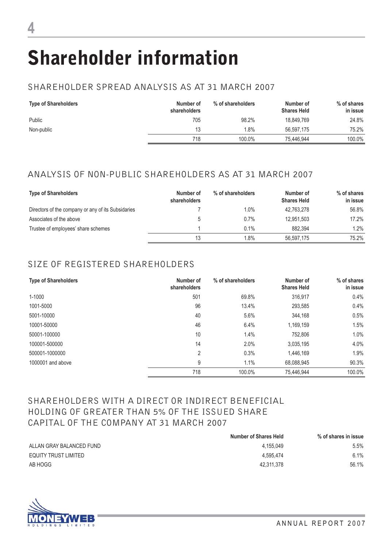# Shareholder information

**4**

## SHAREHOLDER SPREAD ANALYSIS AS AT 31 MARCH 2007

| <b>Type of Shareholders</b> | Number of<br>shareholders | % of shareholders | Number of<br><b>Shares Held</b> | % of shares<br>in issue |
|-----------------------------|---------------------------|-------------------|---------------------------------|-------------------------|
| Public                      | 705                       | 98.2%             | 18,849,769                      | 24.8%                   |
| Non-public                  | 13                        | $1.8\%$           | 56.597.175                      | 75.2%                   |
|                             | 718                       | 100.0%            | 75.446.944                      | 100.0%                  |

## ANALYSIS OF NON-PUBLIC SHAREHOLDERS AS AT 31 MARCH 2007

| <b>Type of Shareholders</b>                        | Number of<br>shareholders | % of shareholders | Number of<br><b>Shares Held</b> | % of shares<br>in issue |
|----------------------------------------------------|---------------------------|-------------------|---------------------------------|-------------------------|
| Directors of the company or any of its Subsidaries |                           | 1.0%              | 42.763.278                      | 56.8%                   |
| Associates of the above                            | 5.                        | 0.7%              | 12,951,503                      | 17.2%                   |
| Trustee of employees' share schemes                |                           | $0.1\%$           | 882.394                         | $1.2\%$                 |
|                                                    | 13                        | $.8\%$            | 56.597.175                      | 75.2%                   |

## SIZE OF REGISTERED SHAREHOLDERS

| <b>Type of Shareholders</b> | Number of<br>shareholders | % of shareholders | Number of<br><b>Shares Held</b> | % of shares<br>in issue |
|-----------------------------|---------------------------|-------------------|---------------------------------|-------------------------|
| 1-1000                      | 501                       | 69.8%             | 316,917                         | 0.4%                    |
| 1001-5000                   | 96                        | 13.4%             | 293,585                         | 0.4%                    |
| 5001-10000                  | 40                        | 5.6%              | 344,168                         | 0.5%                    |
| 10001-50000                 | 46                        | 6.4%              | 1,169,159                       | 1.5%                    |
| 50001-100000                | 10                        | 1.4%              | 752,806                         | 1.0%                    |
| 100001-500000               | 14                        | 2.0%              | 3,035,195                       | 4.0%                    |
| 500001-1000000              | 2                         | 0.3%              | 1,446,169                       | 1.9%                    |
| 1000001 and above           | 9                         | 1.1%              | 68,088,945                      | 90.3%                   |
|                             | 718                       | 100.0%            | 75.446.944                      | 100.0%                  |

### SHAREHOLDERS WITH A DIRECT OR INDIRECT BENEFICIAL HOLDING OF GREATER THAN 5% OF THE ISSUED SHARE CAPITAL OF THE COMPANY AT 31 MARCH 2007

|                          | Number of Shares Held | % of shares in issue |
|--------------------------|-----------------------|----------------------|
| ALLAN GRAY BALANCED FUND | 4.155.049             | 5.5%                 |
| EQUITY TRUST LIMITED     | 4.595.474             | 6.1%                 |
| AB HOGG                  | 42.311.378            | 56.1%                |

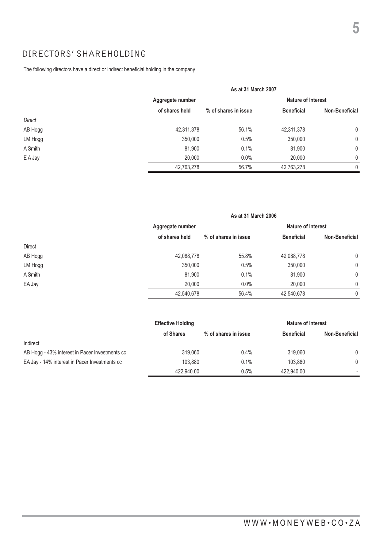## DIRECTORS' SHAREHOLDING

The following directors have a direct or indirect beneficial holding in the company

|               |                  | As at 31 March 2007  |                           |                |
|---------------|------------------|----------------------|---------------------------|----------------|
|               | Aggregate number |                      | <b>Nature of Interest</b> |                |
|               | of shares held   | % of shares in issue | <b>Beneficial</b>         | Non-Beneficial |
| <b>Direct</b> |                  |                      |                           |                |
| AB Hogg       | 42,311,378       | 56.1%                | 42,311,378                | $\mathbf 0$    |
| LM Hogg       | 350,000          | 0.5%                 | 350,000                   | $\mathbf 0$    |
| A Smith       | 81,900           | 0.1%                 | 81,900                    | 0              |
| E A Jay       | 20,000           | 0.0%                 | 20,000                    | $\mathbf{0}$   |
|               | 42,763,278       | 56.7%                | 42,763,278                | 0              |

|               |                  | As at 31 March 2006  |                           |                       |
|---------------|------------------|----------------------|---------------------------|-----------------------|
|               | Aggregate number |                      | <b>Nature of Interest</b> |                       |
|               | of shares held   | % of shares in issue | <b>Beneficial</b>         | <b>Non-Beneficial</b> |
| <b>Direct</b> |                  |                      |                           |                       |
| AB Hogg       | 42,088,778       | 55.8%                | 42,088,778                | $\mathbf{0}$          |
| LM Hogg       | 350,000          | 0.5%                 | 350,000                   | $\mathbf{0}$          |
| A Smith       | 81,900           | 0.1%                 | 81,900                    | $\mathbf{0}$          |
| EA Jay        | 20,000           | 0.0%                 | 20,000                    | 0                     |
|               | 42,540,678       | 56.4%                | 42,540,678                | $\mathbf{0}$          |

|                                                | <b>Effective Holding</b> |                      | <b>Nature of Interest</b> |                |  |  |
|------------------------------------------------|--------------------------|----------------------|---------------------------|----------------|--|--|
|                                                | of Shares                | % of shares in issue | <b>Beneficial</b>         | Non-Beneficial |  |  |
| Indirect                                       |                          |                      |                           |                |  |  |
| AB Hogg - 43% interest in Pacer Investments cc | 319,060                  | 0.4%                 | 319,060                   | $\Omega$       |  |  |
| EA Jay - 14% interest in Pacer Investments cc  | 103.880                  | 0.1%                 | 103.880                   | $\Omega$       |  |  |
|                                                | 422,940,00               | 0.5%                 | 422,940,00                |                |  |  |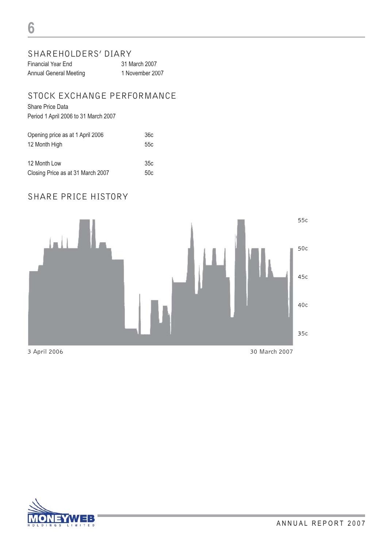## SHAREHOLDERS' DIARY

| Financial Year End            | 31 March 2007   |
|-------------------------------|-----------------|
| <b>Annual General Meeting</b> | 1 November 2007 |

## STOCK EXCHANGE PERFORMANCE

Share Price Data Period 1 April 2006 to 31 March 2007

| Opening price as at 1 April 2006  | 36c |
|-----------------------------------|-----|
| 12 Month High                     | 55c |
|                                   |     |
| 12 Month Low                      | 35c |
| Closing Price as at 31 March 2007 | 50c |

## SHARE PRICE HISTORY



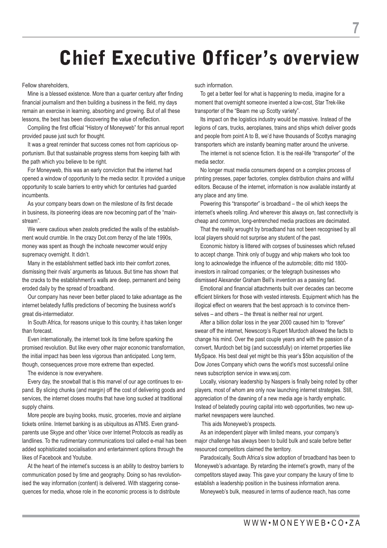## Chief Executive Officer's overview

#### Fellow shareholders.

Mine is a blessed existence. More than a quarter century after finding financial journalism and then building a business in the field, my days remain an exercise in learning, absorbing and growing. But of all these lessons, the best has been discovering the value of reflection.

Compiling the first official "History of Moneyweb" for this annual report provided pause just such for thought.

It was a great reminder that success comes not from capricious opportunism. But that sustainable progress stems from keeping faith with the path which you believe to be right.

For Moneyweb, this was an early conviction that the internet had opened a window of opportunity to the media sector. It provided a unique opportunity to scale barriers to entry which for centuries had guarded incumbents.

As your company bears down on the milestone of its first decade in business, its pioneering ideas are now becoming part of the "mainstream".

We were cautious when zealots predicted the walls of the establishment would crumble. In the crazy Dot.com frenzy of the late 1990s, money was spent as though the inchoate newcomer would enjoy supremacy overnight. It didn't.

Many in the establishment settled back into their comfort zones, dismissing their rivals' arguments as fatuous. But time has shown that the cracks to the establishment's walls are deep, permanent and being eroded daily by the spread of broadband.

Our company has never been better placed to take advantage as the internet belatedly fulfils predictions of becoming the business world's great dis-intermediator.

In South Africa, for reasons unique to this country, it has taken longer than forecast.

Even internationally, the internet took its time before sparking the promised revolution. But like every other major economic transformation, the initial impact has been less vigorous than anticipated. Long term. though, consequences prove more extreme than expected.

The evidence is now everywhere.

Every day, the snowball that is this marvel of our age continues to expand. By slicing chunks (and margin) off the cost of delivering goods and services, the internet closes mouths that have long sucked at traditional supply chains.

More people are buying books, music, groceries, movie and airplane tickets online. Internet banking is as ubiquitous as ATMS. Even grandparents use Skype and other Voice over Internet Protocols as readily as landlines. To the rudimentary communications tool called e-mail has been added sophisticated socialisation and entertainment options through the likes of Facebook and Youtube.

At the heart of the internet's success is an ability to destroy barriers to communication posed by time and geography. Doing so has revolutionised the way information (content) is delivered. With staggering consequences for media, whose role in the economic process is to distribute

such information.

To get a better feel for what is happening to media, imagine for a moment that overnight someone invented a low-cost. Star Trek-like transporter of the "Beam me up Scotty variety".

Its impact on the logistics industry would be massive. Instead of the legions of cars, trucks, aeroplanes, trains and ships which deliver goods and people from point A to B, we'd have thousands of Scottys managing transporters which are instantly beaming matter around the universe.

The internet is not science fiction. It is the real-life "transporter" of the media sector.

No longer must media consumers depend on a complex process of printing presses, paper factories, complex distribution chains and willful editors. Because of the internet, information is now available instantly at any place and any time.

Powering this "transporter" is broadband  $-$  the oil which keeps the internet's wheels rolling. And wherever this always on, fast connectivity is cheap and common, long-entrenched media practices are decimated.

That the reality wrought by broadband has not been recognised by all local players should not surprise any student of the past.

Economic history is littered with corpses of businesses which refused to accept change. Think only of buggy and whip makers who took too long to acknowledge the influence of the automobile: ditto mid 1800investors in railroad companies; or the telegraph businesses who dismissed Alexander Graham Bell's invention as a passing fad.

Emotional and financial attachments built over decades can become efficient blinkers for those with vested interests. Equipment which has the illogical effect on wearers that the best approach is to convince themselves – and others – the threat is neither real nor urgent.

After a billion dollar loss in the year 2000 caused him to "forever" swear off the internet, Newscorp's Rupert Murdoch allowed the facts to change his mind. Over the past couple years and with the passion of a convert, Murdoch bet big (and successfully) on internet properties like MySpace. His best deal vet might be this year's \$5bn acquisition of the Dow Jones Company which owns the world's most successful online news subscription service in www.wsj.com.

Locally, visionary leadership by Naspers is finally being noted by other players, most of whom are only now launching internet strategies. Still, appreciation of the dawning of a new media age is hardly emphatic. Instead of belatedly pouring capital into web opportunities, two new upmarket newspapers were launched.

This aids Moneyweb's prospects.

As an independent player with limited means, your company's major challenge has always been to build bulk and scale before better resourced competitors claimed the territory.

Paradoxically, South Africa's slow adoption of broadband has been to Moneyweb's advantage. By retarding the internet's growth, many of the competitors stayed away. This gave your company the luxury of time to establish a leadership position in the business information arena.

Moneyweb's bulk, measured in terms of audience reach, has come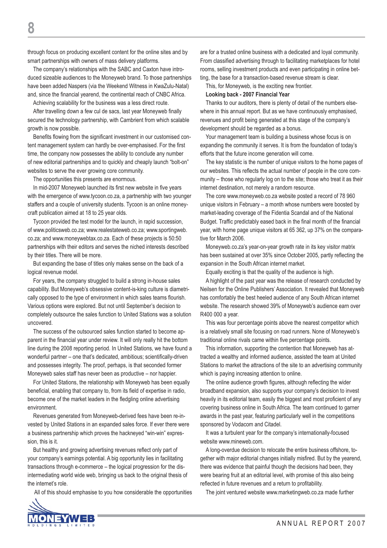through focus on producing excellent content for the online sites and by smart partnerships with owners of mass delivery platforms.

The company's relationships with the SABC and Caxton have introduced sizeable audiences to the Moneyweb brand. To those partnerships have been added Naspers (via the Weekend Witness in KwaZulu-Natal) and, since the financial yearend, the continental reach of CNBC Africa.

Achieving scalability for the business was a less direct route.

After travelling down a few cul de sacs, last year Moneyweb finally secured the technology partnership, with Cambrient from which scalable growth is now possible.

Benefits flowing from the significant investment in our customised content management system can hardly be over-emphasised. For the first time, the company now possesses the ability to conclude any number of new editorial partnerships and to quickly and cheaply launch "bolt-on" websites to serve the ever growing core community.

The opportunities this presents are enormous.

In mid-2007 Moneyweb launched its first new website in five years with the emergence of www.tycoon.co.za, a partnership with two younger staffers and a couple of university students. Tycoon is an online moneycraft publication aimed at 18 to 25 year olds.

Tycoon provided the test model for the launch, in rapid succession, of www.politicsweb.co.za; www.realestateweb.co.za; www.sportingweb. co.za; and www.moneywebtax.co.za. Each of these projects is 50:50 partnerships with their editors and serves the niched interests described by their titles. There will be more.

But expanding the base of titles only makes sense on the back of a logical revenue model.

For years, the company struggled to build a strong in-house sales capability. But Moneyweb's obsessive content-is-king culture is diametrically opposed to the type of environment in which sales teams flourish. Various options were explored. But not until September's decision to completely outsource the sales function to United Stations was a solution uncovered.

The success of the outsourced sales function started to become apparent in the financial year under review. It will only really hit the bottom line during the 2008 reporting period. In United Stations, we have found a wonderful partner - one that's dedicated, ambitious; scientifically-driven and possesses integrity. The proof, perhaps, is that seconded former Moneyweb sales staff has never been as productive - nor happier.

For United Stations, the relationship with Moneyweb has been equally beneficial, enabling that company to, from its field of expertise in radio, become one of the market leaders in the fledgling online advertising environment.

Revenues generated from Moneyweb-derived fees have been re-invested by United Stations in an expanded sales force. If ever there were a business partnership which proves the hackneyed "win-win" expression, this is it.

But healthy and growing advertising revenues reflect only part of your company's earnings potential. A big opportunity lies in facilitating transactions through e-commerce - the logical progression for the disintermediating world wide web, bringing us back to the original thesis of the internet's role.

All of this should emphasise to you how considerable the opportunities



are for a trusted online business with a dedicated and loyal community. From classified advertising through to facilitating marketplaces for hotel rooms, selling investment products and even participating in online betting, the base for a transaction-based revenue stream is clear.

This, for Moneyweb, is the exciting new frontier.

#### Looking back - 2007 Financial Year

Thanks to our auditors, there is plenty of detail of the numbers elsewhere in this annual report. But as we have continuously emphasised. revenues and profit being generated at this stage of the company's development should be regarded as a bonus.

Your management team is building a business whose focus is on expanding the community it serves. It is from the foundation of today's efforts that the future income generation will come.

The key statistic is the number of unique visitors to the home pages of our websites. This reflects the actual number of people in the core community – those who regularly log on to the site; those who treat it as their internet destination, not merely a random resource.

The core www.moneyweb.co.za website posted a record of 78 960 unique visitors in February  $-$  a month whose numbers were boosted by market-leading coverage of the Fidentia Scandal and of the National Budget. Traffic predictably eased back in the final month of the financial year, with home page unique visitors at 65 362, up 37% on the comparative for March 2006.

Moneyweb.co.za's year-on-year growth rate in its key visitor matrix has been sustained at over 35% since October 2005, partly reflecting the expansion in the South African internet market.

Equally exciting is that the quality of the audience is high.

A highlight of the past year was the release of research conducted by Neilsen for the Online Publishers' Association. It revealed that Moneyweb has comfortably the best heeled audience of any South African internet website. The research showed 39% of Moneyweb's audience earn over R400 000 a year.

This was four percentage points above the nearest competitor which is a relatively small site focusing on road runners. None of Moneyweb's traditional online rivals came within five percentage points.

This information, supporting the contention that Moneyweb has attracted a wealthy and informed audience, assisted the team at United Stations to market the attractions of the site to an advertising community which is paying increasing attention to online.

The online audience growth figures, although reflecting the wider broadband expansion, also supports your company's decision to invest heavily in its editorial team, easily the biggest and most proficient of any covering business online in South Africa. The team continued to garner awards in the past year, featuring particularly well in the competitions sponsored by Vodacom and Citadel.

It was a turbulent year for the company's internationally-focused website www.mineweb.com.

A long-overdue decision to relocate the entire business offshore, together with major editorial changes initially misfired. But by the yearend, there was evidence that painful though the decisions had been, they were bearing fruit at an editorial level, with promise of this also being reflected in future revenues and a return to profitability.

The joint ventured website www.marketingweb.co.za made further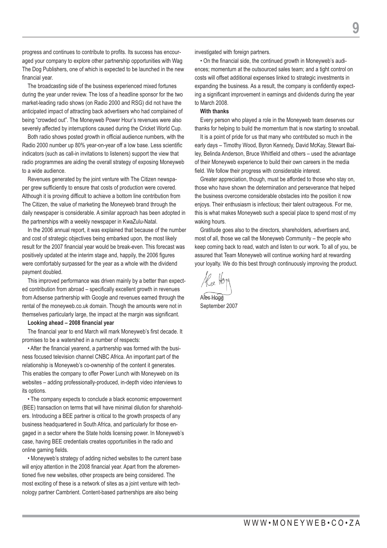progress and continues to contribute to profits. Its success has encouraged your company to explore other partnership opportunities with Wag The Dog Publishers, one of which is expected to be launched in the new financial vear.

The broadcasting side of the business experienced mixed fortunes during the year under review. The loss of a headline sponsor for the two market-leading radio shows (on Radio 2000 and RSG) did not have the anticipated impact of attracting back advertisers who had complained of being "crowded out". The Moneyweb Power Hour's revenues were also severely affected by interruptions caused during the Cricket World Cup.

Both radio shows posted growth in official audience numbers, with the Radio 2000 number up 80% year-on-year off a low base. Less scientific indicators (such as call-in invitations to listeners) support the view that radio programmes are aiding the overall strategy of exposing Moneyweb to a wide audience.

Revenues generated by the joint venture with The Citizen newspaper grew sufficiently to ensure that costs of production were covered. Although it is proving difficult to achieve a bottom line contribution from The Citizen, the value of marketing the Moneyweb brand through the daily newspaper is considerable. A similar approach has been adopted in the partnerships with a weekly newspaper in KwaZulu-Natal.

In the 2006 annual report, it was explained that because of the number and cost of strategic objectives being embarked upon, the most likely result for the 2007 financial year would be break-even. This forecast was positively updated at the interim stage and, happily, the 2006 figures were comfortably surpassed for the year as a whole with the dividend payment doubled.

This improved performance was driven mainly by a better than expected contribution from abroad - specifically excellent growth in revenues from Adsense partnership with Google and revenues earned through the rental of the moneyweb.co.uk domain. Though the amounts were not in themselves particularly large, the impact at the margin was significant.

#### Looking ahead - 2008 financial year

The financial year to end March will mark Moneyweb's first decade. It promises to be a watershed in a number of respects:

• After the financial vearend, a partnership was formed with the business focused television channel CNBC Africa. An important part of the relationship is Moneyweb's co-ownership of the content it generates. This enables the company to offer Power Lunch with Moneyweb on its websites - adding professionally-produced, in-depth video interviews to its options.

• The company expects to conclude a black economic empowerment (BEE) transaction on terms that will have minimal dilution for shareholders. Introducing a BEE partner is critical to the growth prospects of any business headquartered in South Africa, and particularly for those engaged in a sector where the State holds licensing power. In Moneyweb's case, having BEE credentials creates opportunities in the radio and online gaming fields.

. Moneyweb's strategy of adding niched websites to the current base will enjoy attention in the 2008 financial year. Apart from the aforementioned five new websites, other prospects are being considered. The most exciting of these is a network of sites as a joint venture with technology partner Cambrient. Content-based partnerships are also being

investigated with foreign partners.

. On the financial side, the continued growth in Moneyweb's audiences; momentum at the outsourced sales team; and a tight control on costs will offset additional expenses linked to strategic investments in expanding the business. As a result, the company is confidently expecting a significant improvement in earnings and dividends during the year to March 2008.

#### **With thanks**

Every person who played a role in the Moneyweb team deserves our thanks for helping to build the momentum that is now starting to snowball.

It is a point of pride for us that many who contributed so much in the early days - Timothy Wood, Byron Kennedy, David McKay, Stewart Bailev. Belinda Anderson. Bruce Whitfield and others – used the advantage of their Moneyweb experience to build their own careers in the media field. We follow their progress with considerable interest.

Greater appreciation, though, must be afforded to those who stay on, those who have shown the determination and perseverance that helped the business overcome considerable obstacles into the position it now eniovs. Their enthusiasm is infectious: their talent outrageous. For me. this is what makes Moneyweb such a special place to spend most of my waking hours.

Gratitude goes also to the directors, shareholders, advertisers and, most of all, those we call the Moneyweb Community - the people who keep coming back to read, watch and listen to our work. To all of you, be assured that Team Moneyweb will continue working hard at rewarding your loyalty. We do this best through continuously improving the product.

Alec Hogg

September 2007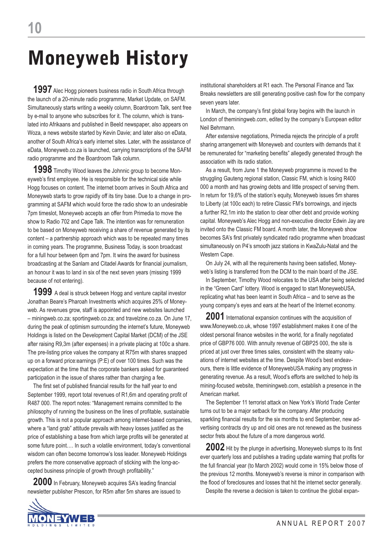## **Moneyweb History**

1997 Alec Hogg pioneers business radio in South Africa through the launch of a 20-minute radio programme, Market Update, on SAFM. Simultaneously starts writing a weekly column, Boardroom Talk, sent free by e-mail to anyone who subscribes for it. The column, which is translated into Afrikaans and published in Beeld newspaper, also appears on Woza, a news website started by Kevin Davie; and later also on eData, another of South Africa's early internet sites. Later, with the assistance of eData, Moneyweb.co.za is launched, carrying transcriptions of the SAFM radio programme and the Boardroom Talk column.

1998 Timothy Wood leaves the Johnnic group to become Moneyweb's first employee. He is responsible for the technical side while Hogg focuses on content. The internet boom arrives in South Africa and Moneyweb starts to grow rapidly off its tiny base. Due to a change in programming at SAFM which would force the radio show to an undesirable 7pm timeslot, Moneyweb accepts an offer from Primedia to move the show to Radio 702 and Cape Talk. The intention was for remuneration to be based on Moneyweb receiving a share of revenue generated by its content - a partnership approach which was to be repeated many times in coming years. The programme, Business Today, is soon broadcast for a full hour between 6pm and 7pm. It wins the award for business broadcasting at the Sanlam and Citadel Awards for financial journalism, an honour it was to land in six of the next seven years (missing 1999 because of not entering).

1999 A deal is struck between Hogg and venture capital investor Jonathan Beare's Pharoah Investments which acquires 25% of Monevweb. As revenues grow, staff is appointed and new websites launched - miningweb.co.za; sportingweb.co.za; and travelzine.co.za. On June 17, during the peak of optimism surrounding the internet's future. Moneyweb Holdings is listed on the Development Capital Market (DCM) of the JSE after raising R9,3m (after expenses) in a private placing at 100c a share. The pre-listing price values the company at R75m with shares snapped up on a forward price: earnings (P:E) of over 100 times. Such was the expectation at the time that the corporate bankers asked for quaranteed participation in the issue of shares rather than charging a fee.

The first set of published financial results for the half year to end September 1999, report total revenues of R1,6m and operating profit of R487 000. The report notes: "Management remains committed to the philosophy of running the business on the lines of profitable, sustainable growth. This is not a popular approach among internet-based companies, where a "land grab" attitude prevails with heavy losses justified as the price of establishing a base from which large profits will be generated at some future point.... In such a volatile environment, today's conventional wisdom can often become tomorrow's loss leader. Moneyweb Holdings prefers the more conservative approach of sticking with the long-accepted business principle of growth through profitability."

2000 In February, Moneyweb acquires SA's leading financial newsletter publisher Prescon, for R5m after 5m shares are issued to



In March, the company's first global foray begins with the launch in London of theminingweb.com, edited by the company's European editor Neil Behrmann.

After extensive negotiations, Primedia rejects the principle of a profit sharing arrangement with Moneyweb and counters with demands that it be remunerated for "marketing benefits" allegedly generated through the association with its radio station.

As a result, from June 1 the Moneyweb programme is moved to the struggling Gauteng regional station, Classic FM, which is losing R400 000 a month and has growing debts and little prospect of serving them. In return for 19,6% of the station's equity, Moneyweb issues 5m shares to Liberty (at 100c each) to retire Classic FM's borrowings, and injects a further R2,1m into the station to clear other debt and provide working capital. Moneyweb's Alec Hogg and non-executive director Edwin Jay are invited onto the Classic FM board. A month later, the Moneyweb show becomes SA's first privately syndicated radio programme when broadcast simultaneously on P4's smooth jazz stations in KwaZulu-Natal and the Western Cape.

On July 24, with all the requirements having been satisfied, Moneyweb's listing is transferred from the DCM to the main board of the JSE.

In September, Timothy Wood relocates to the USA after being selected in the "Green Card" lottery. Wood is engaged to start MoneywebUSA, replicating what has been learnt in South Africa - and to serve as the young company's eyes and ears at the heart of the Internet economy.

2001 International expansion continues with the acquisition of www.Moneyweb.co.uk, whose 1997 establishment makes it one of the oldest personal finance websites in the world, for a finally negotiated price of GBP76 000. With annuity revenue of GBP25 000, the site is priced at just over three times sales, consistent with the steamy valuations of internet websites at the time. Despite Wood's best endeavours, there is little evidence of MoneywebUSA making any progress in generating revenue. As a result, Wood's efforts are switched to help its mining-focused website, theminingweb.com, establish a presence in the American market.

The September 11 terrorist attack on New York's World Trade Center turns out to be a major setback for the company. After producing sparkling financial results for the six months to end September, new advertising contracts dry up and old ones are not renewed as the business sector frets about the future of a more dangerous world.

2002 Hit by the plunge in advertising, Moneyweb slumps to its first ever quarterly loss and publishes a trading update warning that profits for the full financial year (to March 2002) would come in 15% below those of the previous 12 months. Moneyweb's reverse is minor in comparison with the flood of foreclosures and losses that hit the internet sector generally.

Despite the reverse a decision is taken to continue the global expan-

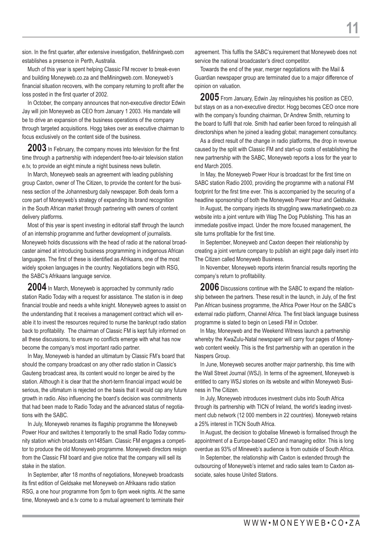sion. In the first quarter, after extensive investigation, the Miningweb.com establishes a presence in Perth, Australia.

Much of this year is spent helping Classic FM recover to break-even and building Moneyweb.co.za and theMiningweb.com. Moneyweb's financial situation recovers, with the company returning to profit after the loss posted in the first quarter of 2002.

In October, the company announces that non-executive director Edwin Jay will join Moneyweb as CEO from January 1 2003. His mandate will be to drive an expansion of the business operations of the company through targeted acquisitions. Hogg takes over as executive chairman to focus exclusively on the content side of the business.

2003 In February, the company moves into television for the first time through a partnership with independent free-to-air television station e.tv, to provide an eight minute a night business news bulletin.

In March, Moneyweb seals an agreement with leading publishing group Caxton, owner of The Citizen, to provide the content for the business section of the Johannesburg daily newspaper. Both deals form a core part of Moneyweb's strategy of expanding its brand recognition in the South African market through partnering with owners of content delivery platforms.

Most of this year is spent investing in editorial staff through the launch of an internship programme and further development of journalists. Moneyweb holds discussions with the head of radio at the national broadcaster aimed at introducing business programming in indigenous African languages. The first of these is identified as Afrikaans, one of the most widely spoken languages in the country. Negotiations begin with RSG, the SABC's Afrikaans language service.

2004 In March, Moneyweb is approached by community radio station Radio Today with a request for assistance. The station is in deep financial trouble and needs a white knight. Moneyweb agrees to assist on the understanding that it receives a management contract which will enable it to invest the resources required to nurse the bankrupt radio station back to profitability. The chairman of Classic FM is kept fully informed on all these discussions, to ensure no conflicts emerge with what has now become the company's most important radio partner.

In May, Moneyweb is handed an ultimatum by Classic FM's board that should the company broadcast on any other radio station in Classic's Gauteng broadcast area, its content would no longer be aired by the station. Although it is clear that the short-term financial impact would be serious, the ultimatum is rejected on the basis that it would cap any future growth in radio. Also influencing the board's decision was commitments that had been made to Radio Today and the advanced status of negotiations with the SABC.

In July, Moneyweb renames its flagship programme the Moneyweb Power Hour and switches it temporarily to the small Radio Today community station which broadcasts on1485am. Classic FM engages a competitor to produce the old Moneyweb programme. Moneyweb directors resign from the Classic FM board and give notice that the company will sell its stake in the station.

In September, after 18 months of negotiations, Moneyweb broadcasts its first edition of Geldsake met Moneyweb on Afrikaans radio station RSG, a one hour programme from 5pm to 6pm week nights. At the same time, Moneyweb and e.tv come to a mutual agreement to terminate their

agreement. This fulfils the SABC's requirement that Moneyweb does not service the national broadcaster's direct competitor.

Towards the end of the year, merger negotiations with the Mail & Guardian newspaper group are terminated due to a major difference of opinion on valuation.

2005 From January, Edwin Jay relinquishes his position as CEO, but stays on as a non-executive director. Hogg becomes CEO once more with the company's founding chairman, Dr Andrew Smith, returning to the board to fulfil that role. Smith had earlier been forced to relinguish all directorships when he joined a leading global; management consultancy.

As a direct result of the change in radio platforms, the drop in revenue caused by the split with Classic FM and start-up costs of establishing the new partnership with the SABC, Moneyweb reports a loss for the year to end March 2005.

In May, the Moneyweb Power Hour is broadcast for the first time on SABC station Radio 2000, providing the programme with a national FM footprint for the first time ever. This is accompanied by the securing of a headline sponsorship of both the Moneyweb Power Hour and Geldsake.

In August, the company injects its struggling www.marketingweb.co.za website into a joint venture with Wag The Dog Publishing. This has an immediate positive impact. Under the more focused management, the site turns profitable for the first time.

In September, Moneyweb and Caxton deepen their relationship by creating a joint venture company to publish an eight page daily insert into The Citizen called Moneyweb Business.

In November, Moneyweb reports interim financial results reporting the company's return to profitability.

2006 Discussions continue with the SABC to expand the relationship between the partners. These result in the launch, in July, of the first Pan African business programme, the Africa Power Hour on the SABC's external radio platform, Channel Africa. The first black language business programme is slated to begin on Lesedi FM in October.

In May, Moneyweb and the Weekend Witness launch a partnership whereby the KwaZulu-Natal newspaper will carry four pages of Moneyweb content weekly. This is the first partnership with an operation in the Naspers Group.

In June, Moneyweb secures another major partnership, this time with the Wall Street Journal (WSJ). In terms of the agreement, Moneyweb is entitled to carry WSJ stories on its website and within Moneyweb Business in The Citizen.

In July, Moneyweb introduces investment clubs into South Africa through its partnership with TICN of Ireland, the world's leading investment club network (12 000 members in 22 countries). Moneyweb retains a 25% interest in TICN South Africa.

In August, the decision to globalise Mineweb is formalised through the appointment of a Europe-based CEO and managing editor. This is long overdue as 93% of Mineweb's audience is from outside of South Africa.

In September, the relationship with Caxton is extended through the outsourcing of Moneyweb's internet and radio sales team to Caxton associate, sales house United Stations.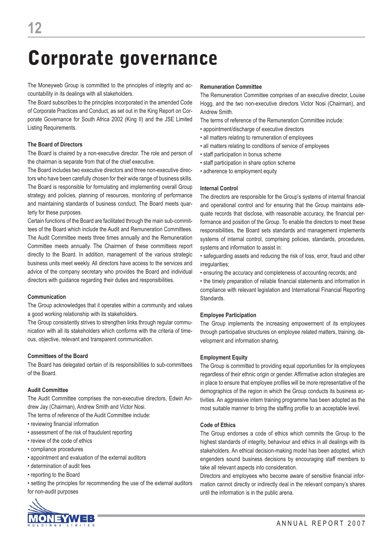## Corporate governance

The Moneyweb Group is committed to the principles of integrity and accountability in its dealings with all stakeholders.

The Board subscribes to the principles incorporated in the amended Code of Corporate Practices and Conduct, as set out in the King Report on Corporate Governance for South Africa 2002 (King II) and the JSE Limited Listing Requirements.

#### **The Board of Directors**

The Board is chaired by a non-executive director. The role and person of the chairman is separate from that of the chief executive.

The Board includes two executive directors and three non-executive directors who have been carefully chosen for their wide range of business skills. The Board is responsible for formulating and implementing overall Group strategy and policies, planning of resources, monitoring of performance and maintaining standards of business conduct. The Board meets quarterly for these purposes.

Certain functions of the Board are facilitated through the main sub-committees of the Board which include the Audit and Remuneration Committees. The Audit Committee meets three times annually and the Remuneration Committee meets annually. The Chairmen of these committees report directly to the Board. In addition, management of the various strategic business units meet weekly. All directors have access to the services and advice of the company secretary who provides the Board and individual directors with guidance regarding their duties and responsibilities.

#### Communication

The Group acknowledges that it operates within a community and values a good working relationship with its stakeholders.

The Group consistently strives to strengthen links through regular communication with all its stakeholders which conforms with the criteria of timeous, objective, relevant and transparent communication.

#### **Committees of the Board**

The Board has delegated certain of its responsibilities to sub-committees of the Board.

#### **Audit Committee**

The Audit Committee comprises the non-executive directors, Edwin Andrew Jay (Chairman), Andrew Smith and Victor Nosi.

The terms of reference of the Audit Committee include:

- reviewing financial information
- assessment of the risk of fraudulent reporting
- review of the code of ethics
- compliance procedures
- appointment and evaluation of the external auditors
- determination of audit fees
- reporting to the Board

• setting the principles for recommending the use of the external auditors for non-audit purposes



#### **Remuneration Committee**

The Remuneration Committee comprises of an executive director, Louise Hogg, and the two non-executive directors Victor Nosi (Chairman), and Andrew Smith

The terms of reference of the Remuneration Committee include:

- appointment/discharge of executive directors
- all matters relating to remuneration of employees
- all matters relating to conditions of service of employees
- staff participation in bonus scheme
- staff participation in share option scheme
- adherence to employment equity

#### **Internal Control**

The directors are responsible for the Group's systems of internal financial and operational control and for ensuring that the Group maintains adequate records that disclose, with reasonable accuracy, the financial performance and position of the Group. To enable the directors to meet these responsibilities, the Board sets standards and management implements systems of internal control, comprising policies, standards, procedures, systems and information to assist in:

• safeguarding assets and reducing the risk of loss, error, fraud and other irregularities;

• ensuring the accuracy and completeness of accounting records; and

• the timely preparation of reliable financial statements and information in compliance with relevant legislation and International Financial Reporting Standards.

#### **Employee Participation**

The Group implements the increasing empowerment of its employees through participative structures on employee related matters, training, development and information sharing.

#### **Employment Equity**

The Group is committed to providing equal opportunities for its employees regardless of their ethnic origin or gender. Affirmative action strategies are in place to ensure that employee profiles will be more representative of the demographics of the region in which the Group conducts its business activities. An aggressive intern training programme has been adopted as the most suitable manner to bring the staffing profile to an acceptable level.

#### **Code of Ethics**

The Group endorses a code of ethics which commits the Group to the highest standards of integrity, behaviour and ethics in all dealings with its stakeholders. An ethical decision-making model has been adopted, which engenders sound business decisions by encouraging staff members to take all relevant aspects into consideration.

Directors and employees who become aware of sensitive financial information cannot directly or indirectly deal in the relevant company's shares until the information is in the public arena.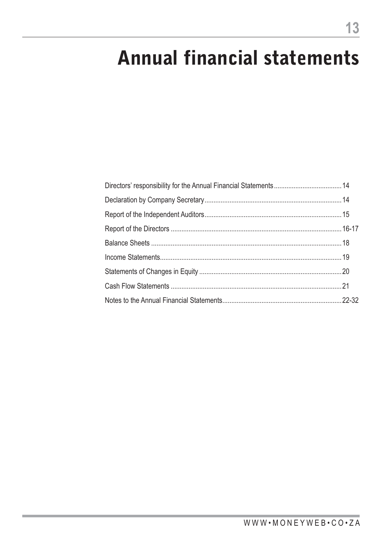# **Annual financial statements**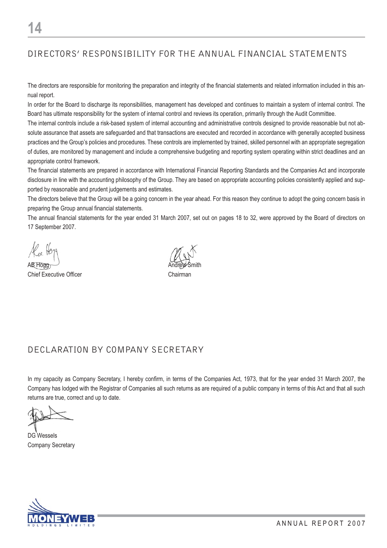## DIRECTORS' RESPONSIBILITY FOR THE ANNUAL FINANCIAL STATEMENTS

The directors are responsible for monitoring the preparation and integrity of the financial statements and related information included in this annual report.

In order for the Board to discharge its reponsibilities, management has developed and continues to maintain a system of internal control. The Board has ultimate responsibility for the system of internal control and reviews its operation, primarily through the Audit Committee.

The internal controls include a risk-based system of internal accounting and administrative controls designed to provide reasonable but not absolute assurance that assets are safeguarded and that transactions are executed and recorded in accordance with generally accepted business practices and the Group's policies and procedures. These controls are implemented by trained, skilled personnel with an appropriate segregation of duties, are monitored by management and include a comprehensive budgeting and reporting system operating within strict deadlines and an appropriate control framework.

The financial statements are prepared in accordance with International Financial Reporting Standards and the Companies Act and incorporate disclosure in line with the accounting philosophy of the Group. They are based on appropriate accounting policies consistently applied and supported by reasonable and prudent judgements and estimates.

The directors believe that the Group will be a going concern in the year ahead. For this reason they continue to adopt the going concern basis in preparing the Group annual financial statements.

The annual financial statements for the year ended 31 March 2007, set out on pages 18 to 32, were approved by the Board of directors on 17 September 2007.

**Chief Executive Officer** 

Chairman

## DECLARATION BY COMPANY SECRETARY

In my capacity as Company Secretary, I hereby confirm, in terms of the Companies Act, 1973, that for the year ended 31 March 2007, the Company has lodged with the Registrar of Companies all such returns as are required of a public company in terms of this Act and that all such returns are true, correct and up to date.

DG Wessels **Company Secretary** 

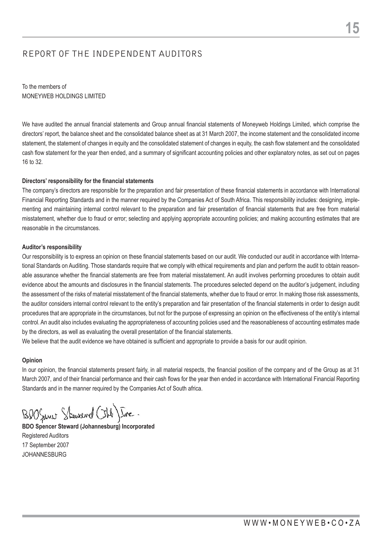## REPORT OF THE INDEPENDENT AUDITORS

To the members of MONEYWER HOLDINGS LIMITED

We have audited the annual financial statements and Group annual financial statements of Moneyweb Holdings Limited, which comprise the directors' report, the balance sheet and the consolidated balance sheet as at 31 March 2007, the income statement and the consolidated income statement, the statement of changes in equity and the consolidated statement of changes in equity, the cash flow statement and the consolidated cash flow statement for the year then ended, and a summary of significant accounting policies and other explanatory notes, as set out on pages 16 to 32.

#### Directors' responsibility for the financial statements

The company's directors are responsible for the preparation and fair presentation of these financial statements in accordance with International Financial Reporting Standards and in the manner required by the Companies Act of South Africa. This responsibility includes: designing, implementing and maintaining internal control relevant to the preparation and fair presentation of financial statements that are free from material misstatement, whether due to fraud or error; selecting and applying appropriate accounting policies; and making accounting estimates that are reasonable in the circumstances.

#### Auditor's responsibility

Our responsibility is to express an opinion on these financial statements based on our audit. We conducted our audit in accordance with International Standards on Auditing. Those standards require that we comply with ethical requirements and plan and perform the audit to obtain reasonable assurance whether the financial statements are free from material misstatement. An audit involves performing procedures to obtain audit evidence about the amounts and disclosures in the financial statements. The procedures selected depend on the auditor's judgement, including the assessment of the risks of material misstatement of the financial statements, whether due to fraud or error. In making those risk assessments, the auditor considers internal control relevant to the entity's preparation and fair presentation of the financial statements in order to design audit procedures that are appropriate in the circumstances, but not for the purpose of expressing an opinion on the effectiveness of the entity's internal control. An audit also includes evaluating the appropriateness of accounting policies used and the reasonableness of accounting estimates made by the directors, as well as evaluating the overall presentation of the financial statements.

We believe that the audit evidence we have obtained is sufficient and appropriate to provide a basis for our audit opinion.

#### Opinion

In our opinion, the financial statements present fairly, in all material respects, the financial position of the company and of the Group as at 31 March 2007, and of their financial performance and their cash flows for the year then ended in accordance with International Financial Reporting Standards and in the manner required by the Companies Act of South africa.

BOOSun Steward (The ) Ire.

**BDO Spencer Steward (Johannesburg) Incorporated Registered Auditors** 17 September 2007 **JOHANNESBURG**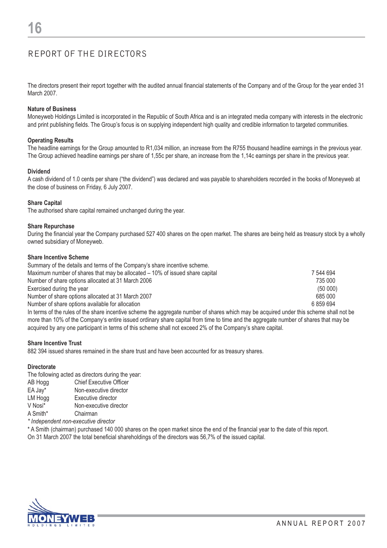## REPORT OF THE DIRECTORS

The directors present their report together with the audited annual financial statements of the Company and of the Group for the year ended 31 March 2007.

#### **Nature of Business**

Moneyweb Holdings Limited is incorporated in the Republic of South Africa and is an integrated media company with interests in the electronic and print publishing fields. The Group's focus is on supplying independent high quality and credible information to targeted communities.

#### **2DB** Operating Results

The headline earnings for the Group amounted to R1,034 million, an increase from the R755 thousand headline earnings in the previous year. The Group achieved headline earnings per share of 1,55c per share, an increase from the 1,14c earnings per share in the previous year.

#### **Dividend**

A cash dividend of 1.0 cents per share ("the dividend") was declared and was payable to shareholders recorded in the books of Moneyweb at the close of business on Friday, 6 July 2007.

#### **Share Capital**

The authorised share capital remained unchanged during the year.

#### **Share Repurchase**

During the financial year the Company purchased 527 400 shares on the open market. The shares are being held as treasury stock by a wholly owned subsidiary of Moneyweb.

#### **Share Incentive Scheme**

| Summary of the details and terms of the Company's share incentive scheme.    |           |
|------------------------------------------------------------------------------|-----------|
| Maximum number of shares that may be allocated – 10% of issued share capital | 7 544 694 |
| Number of share options allocated at 31 March 2006                           | 735 000   |
| Exercised during the year                                                    | (50000)   |
| Number of share options allocated at 31 March 2007                           | 685 000   |
| Number of share options available for allocation                             | 6 859 694 |
|                                                                              |           |

In terms of the rules of the share incentive scheme the aggregate number of shares which may be acquired under this scheme shall not be more than 10% of the Company's entire issued ordinary share capital from time to time and the aggregate number of shares that may be acquired by any one participant in terms of this scheme shall not exceed 2% of the Company's share capital.

#### **Share Incentive Trust**

882 394 issued shares remained in the share trust and have been accounted for as treasury shares.

#### **Directorate**

The following acted as directors during the year:

- AB Hogg Chief Executive Officer
- EA Jay\* Non-executive director
- LM Hogg Executive director
- V Nosi\* Non-executive director
- A Smith\* Chairman
- *\* Independent non-executive director*

\* A Smith (chairman) purchased 140 000 shares on the open market since the end of the financial year to the date of this report.

On 31 March 2007 the total beneficial shareholdings of the directors was 56,7% of the issued capital.

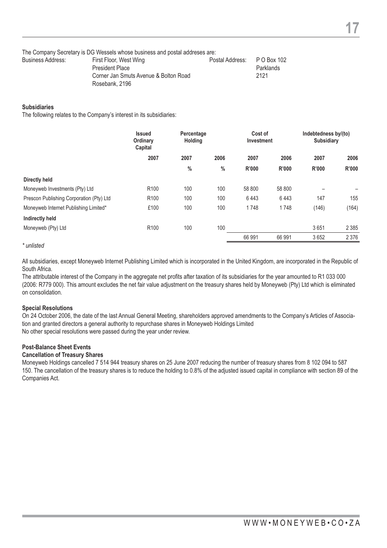The Company Secretary is DG Wessels whose business and postal addreses are:

| Business Address: . | First Floor, West Wing                | Postal Address: | P O Box 102 |
|---------------------|---------------------------------------|-----------------|-------------|
|                     | <b>President Place</b>                |                 | Parklands   |
|                     | Corner Jan Smuts Avenue & Bolton Road |                 | 2121        |
|                     | Rosebank, 2196                        |                 |             |

#### **Subsidiaries**

The following relates to the Company's interest in its subsidiaries:

|                                          | <b>Issued</b><br>Ordinary<br>Capital | Percentage<br><b>Holding</b> | Cost of<br>Investment |        |        | Indebtedness by/(to)<br><b>Subsidiary</b> |         |
|------------------------------------------|--------------------------------------|------------------------------|-----------------------|--------|--------|-------------------------------------------|---------|
|                                          | 2007                                 | 2007                         | 2006                  | 2007   | 2006   | 2007                                      | 2006    |
|                                          |                                      | $\%$                         | $\frac{0}{0}$         | R'000  | R'000  | R'000                                     | R'000   |
| Directly held                            |                                      |                              |                       |        |        |                                           |         |
| Moneyweb Investments (Pty) Ltd           | R <sub>100</sub>                     | 100                          | 100                   | 58 800 | 58 800 |                                           |         |
| Prescon Publishing Corporation (Pty) Ltd | R <sub>100</sub>                     | 100                          | 100                   | 6443   | 6443   | 147                                       | 155     |
| Moneyweb Internet Publishing Limited*    | £100                                 | 100                          | 100                   | 1748   | 1748   | (146)                                     | (164)   |
| Indirectly held                          |                                      |                              |                       |        |        |                                           |         |
| Moneyweb (Pty) Ltd                       | R <sub>100</sub>                     | 100                          | 100                   |        |        | 3651                                      | 2 3 8 5 |
|                                          |                                      |                              |                       | 66 991 | 66 991 | 3652                                      | 2 3 7 6 |
| $\mathbf{a}$ and $\mathbf{a}$            |                                      |                              |                       |        |        |                                           |         |

*\* unlisted*

All subsidiaries, except Moneyweb Internet Publishing Limited which is incorporated in the United Kingdom, are incorporated in the Republic of South Africa.

The attributable interest of the Company in the aggregate net profits after taxation of its subsidiaries for the year amounted to R1 033 000 (2006: R779 000). This amount excludes the net fair value adjustment on the treasury shares held by Moneyweb (Pty) Ltd which is eliminated on consolidation.

#### **Special Resolutions**

On 24 October 2006, the date of the last Annual General Meeting, shareholders approved amendments to the Company's Articles of Association and granted directors a general authority to repurchase shares in Moneyweb Holdings Limited No other special resolutions were passed during the year under review.

#### **Post-Balance Sheet Events**

#### **Cancellation of Treasury Shares**

Moneyweb Holdings cancelled 7 514 944 treasury shares on 25 June 2007 reducing the number of treasury shares from 8 102 094 to 587 150. The cancellation of the treasury shares is to reduce the holding to 0.8% of the adjusted issued capital in compliance with section 89 of the Companies Act.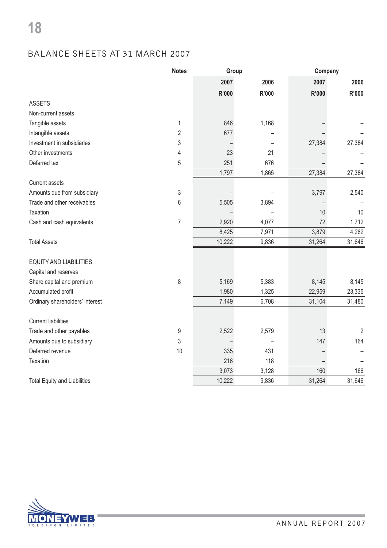## BALANCE SHEETS AT 31 MARCH 2007

|                                     | <b>Notes</b>   | Group  |       |        | Company        |  |
|-------------------------------------|----------------|--------|-------|--------|----------------|--|
|                                     |                | 2007   | 2006  | 2007   | 2006           |  |
|                                     |                | R'000  | R'000 | R'000  | R'000          |  |
| <b>ASSETS</b>                       |                |        |       |        |                |  |
| Non-current assets                  |                |        |       |        |                |  |
| Tangible assets                     | 1              | 846    | 1,168 |        |                |  |
| Intangible assets                   | $\overline{2}$ | 677    |       |        |                |  |
| Investment in subsidiaries          | 3              |        |       | 27,384 | 27,384         |  |
| Other investments                   | 4              | 23     | 21    |        |                |  |
| Deferred tax                        | 5              | 251    | 676   |        |                |  |
|                                     |                | 1,797  | 1,865 | 27,384 | 27,384         |  |
| <b>Current assets</b>               |                |        |       |        |                |  |
| Amounts due from subsidiary         | 3              |        |       | 3,797  | 2,540          |  |
| Trade and other receivables         | 6              | 5,505  | 3,894 |        |                |  |
| Taxation                            |                |        |       | 10     | 10             |  |
| Cash and cash equivalents           | $\overline{7}$ | 2,920  | 4,077 | 72     | 1,712          |  |
|                                     |                | 8,425  | 7,971 | 3,879  | 4,262          |  |
| <b>Total Assets</b>                 |                | 10,222 | 9,836 | 31,264 | 31,646         |  |
| <b>EQUITY AND LIABILITIES</b>       |                |        |       |        |                |  |
| Capital and reserves                |                |        |       |        |                |  |
| Share capital and premium           | 8              | 5,169  | 5,383 | 8,145  | 8,145          |  |
| Accumulated profit                  |                | 1,980  | 1,325 | 22,959 | 23,335         |  |
| Ordinary shareholders' interest     |                | 7,149  | 6,708 | 31,104 | 31,480         |  |
| <b>Current liabilities</b>          |                |        |       |        |                |  |
| Trade and other payables            | $9\,$          | 2,522  | 2,579 | 13     | $\overline{2}$ |  |
| Amounts due to subsidiary           | 3              |        |       | 147    | 164            |  |
| Deferred revenue                    | 10             | 335    | 431   |        |                |  |
| Taxation                            |                | 216    | 118   |        |                |  |
|                                     |                | 3,073  | 3,128 | 160    | 166            |  |
| <b>Total Equity and Liabilities</b> |                | 10,222 | 9,836 | 31,264 | 31,646         |  |

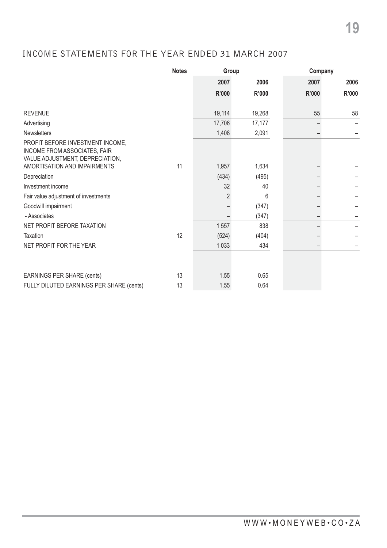### INCOME STATEMENTS FOR THE YEAR ENDED 31 MARCH 2007

|                                                                                                                                     | <b>Notes</b> | Group        |        |       | Company      |  |
|-------------------------------------------------------------------------------------------------------------------------------------|--------------|--------------|--------|-------|--------------|--|
|                                                                                                                                     |              | 2007         | 2006   | 2007  | 2006         |  |
|                                                                                                                                     |              | <b>R'000</b> | R'000  | R'000 | <b>R'000</b> |  |
| <b>REVENUE</b>                                                                                                                      |              | 19,114       | 19,268 | 55    | 58           |  |
| Advertising                                                                                                                         |              | 17,706       | 17,177 |       |              |  |
| <b>Newsletters</b>                                                                                                                  |              | 1,408        | 2,091  |       |              |  |
| PROFIT BEFORE INVESTMENT INCOME,<br>INCOME FROM ASSOCIATES, FAIR<br>VALUE ADJUSTMENT, DEPRECIATION,<br>AMORTISATION AND IMPAIRMENTS | 11           | 1,957        | 1,634  |       |              |  |
| Depreciation                                                                                                                        |              | (434)        | (495)  |       |              |  |
| Investment income                                                                                                                   |              | 32           | 40     |       |              |  |
| Fair value adjustment of investments                                                                                                |              | 2            | 6      |       |              |  |
| Goodwill impairment                                                                                                                 |              |              | (347)  |       |              |  |
| - Associates                                                                                                                        |              |              | (347)  |       |              |  |
| NET PROFIT BEFORE TAXATION                                                                                                          |              | 1557         | 838    |       |              |  |
| <b>Taxation</b>                                                                                                                     | 12           | (524)        | (404)  |       |              |  |
| NET PROFIT FOR THE YEAR                                                                                                             |              | 1 0 3 3      | 434    |       |              |  |
|                                                                                                                                     |              |              |        |       |              |  |
| EARNINGS PER SHARE (cents)                                                                                                          | 13           | 1.55         | 0.65   |       |              |  |
| FULLY DILUTED EARNINGS PER SHARE (cents)                                                                                            | 13           | 1.55         | 0.64   |       |              |  |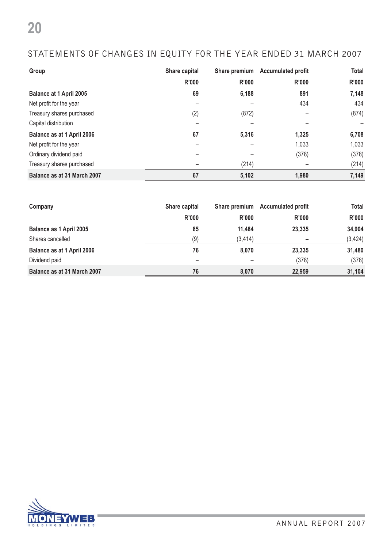## STATEMENTS OF CHANGES IN EQUITY FOR THE YEAR ENDED 31 MARCH 2007

| Group                          | Share capital |       | Share premium Accumulated profit | <b>Total</b> |
|--------------------------------|---------------|-------|----------------------------------|--------------|
|                                | R'000         | R'000 | R'000                            | R'000        |
| <b>Balance at 1 April 2005</b> | 69            | 6,188 | 891                              | 7,148        |
| Net profit for the year        |               |       | 434                              | 434          |
| Treasury shares purchased      | (2)           | (872) |                                  | (874)        |
| Capital distribution           |               |       |                                  |              |
| Balance as at 1 April 2006     | 67            | 5,316 | 1,325                            | 6,708        |
| Net profit for the year        |               |       | 1,033                            | 1,033        |
| Ordinary dividend paid         |               |       | (378)                            | (378)        |
| Treasury shares purchased      |               | (214) |                                  | (214)        |
| Balance as at 31 March 2007    | 67            | 5,102 | 1,980                            | 7,149        |

| Company                        | Share capital | Share premium | <b>Accumulated profit</b> | <b>Total</b> |
|--------------------------------|---------------|---------------|---------------------------|--------------|
|                                | R'000         | R'000         | R'000                     | R'000        |
| <b>Balance as 1 April 2005</b> | 85            | 11.484        | 23,335                    | 34,904       |
| Shares cancelled               | (9)           | (3, 414)      |                           | (3, 424)     |
| Balance as at 1 April 2006     | 76            | 8.070         | 23,335                    | 31,480       |
| Dividend paid                  | -             |               | (378)                     | (378)        |
| Balance as at 31 March 2007    | 76            | 8.070         | 22,959                    | 31,104       |

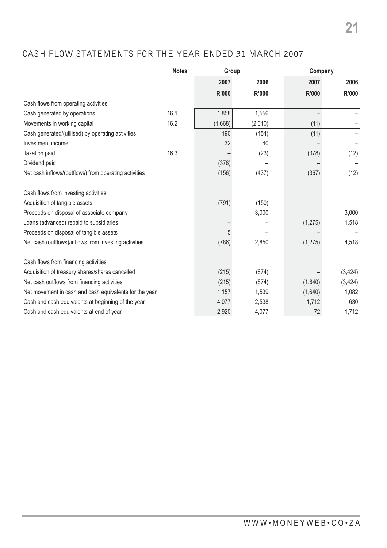### CASH FLOW STATEMENTS FOR THE YEAR ENDED 31 MARCH 2007

|                                                        | <b>Notes</b> | Group   |         |          | Company  |  |
|--------------------------------------------------------|--------------|---------|---------|----------|----------|--|
|                                                        |              | 2007    | 2006    | 2007     | 2006     |  |
|                                                        |              | R'000   | R'000   | R'000    | R'000    |  |
| Cash flows from operating activities                   |              |         |         |          |          |  |
| Cash generated by operations                           | 16.1         | 1,858   | 1,556   |          |          |  |
| Movements in working capital                           | 16.2         | (1,668) | (2,010) | (11)     |          |  |
| Cash generated/(utilised) by operating activities      |              | 190     | (454)   | (11)     |          |  |
| Investment income                                      |              | 32      | 40      |          |          |  |
| <b>Taxation paid</b>                                   | 16.3         |         | (23)    | (378)    | (12)     |  |
| Dividend paid                                          |              | (378)   |         |          |          |  |
| Net cash inflows/(outflows) from operating activities  |              | (156)   | (437)   | (367)    | (12)     |  |
| Cash flows from investing activities                   |              |         |         |          |          |  |
| Acquisition of tangible assets                         |              | (791)   | (150)   |          |          |  |
| Proceeds on disposal of associate company              |              |         | 3,000   |          | 3,000    |  |
| Loans (advanced) repaid to subsidiaries                |              |         |         | (1, 275) | 1,518    |  |
| Proceeds on disposal of tangible assets                |              | 5       |         |          |          |  |
| Net cash (outflows)/inflows from investing activities  |              | (786)   | 2,850   | (1, 275) | 4,518    |  |
| Cash flows from financing activities                   |              |         |         |          |          |  |
| Acquisition of treasury shares/shares cancelled        |              | (215)   | (874)   |          | (3, 424) |  |
| Net cash outflows from financing activities            |              | (215)   | (874)   | (1,640)  | (3, 424) |  |
| Net movement in cash and cash equivalents for the year |              | 1,157   | 1,539   | (1,640)  | 1,082    |  |
| Cash and cash equivalents at beginning of the year     |              | 4,077   | 2,538   | 1,712    | 630      |  |
| Cash and cash equivalents at end of year               |              | 2,920   | 4,077   | 72       | 1,712    |  |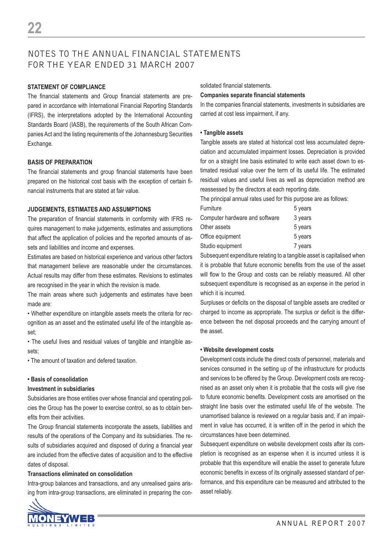## NOTES TO THE ANNUAL FINANCIAL STATEMENTS FOR THE YEAR ENDED 31 MARCH 2007

#### **STATEMENT OF COMPLIANCE**

The financial statements and Group financial statements are prepared in accordance with International Financial Reporting Standards (IFRS), the interpretations adopted by the International Accounting Standards Board (IASB), the requirements of the South African Companies Act and the listing requirements of the Johannesburg Securities Exchange.

#### **BASIS OF PREPARATION**

The financial statements and group financial statements have been prepared on the historical cost basis with the exception of certain financial instruments that are stated at fair value.

#### **JUDGEMENTS, ESTIMATES AND ASSUMPTIONS**

The preparation of financial statements in conformity with IFRS requires management to make judgements, estimates and assumptions that affect the application of policies and the reported amounts of assets and liabilities and income and expenses.

Estimates are based on historical experience and various other factors that management believe are reasonable under the circumstances. Actual results may differ from these estimates. Revisions to estimates are recognised in the year in which the revision is made.

The main areas where such judgements and estimates have been made are:

• Whether expenditure on intangible assets meets the criteria for recognition as an asset and the estimated useful life of the intangible asset:

• The useful lives and residual values of tangible and intangible assets:

• The amount of taxation and defered taxation.

#### **\* Basis of consolidation**

#### **Investment in subsidiaries**

Subsidiaries are those entities over whose financial and operating policies the Group has the power to exercise control, so as to obtain benefits from their activities.

The Group financial statements incorporate the assets, liabilities and results of the operations of the Company and its subsidiaries. The results of subsidiaries acquired and disposed of during a financial year are included from the effective dates of acquisition and to the effective dates of disposal.

#### **Transactions eliminated on consolidation**

Intra-group balances and transactions, and any unrealised gains arising from intra-group transactions, are eliminated in preparing the con-



solidated financial statements.

#### Companies separate financial statements

In the companies financial statements, investments in subsidiaries are carried at cost less impairment, if any.

#### **• Tangible assets**

Tangible assets are stated at historical cost less accumulated depreciation and accumulated impairment losses. Depreciation is provided for on a straight line basis estimated to write each asset down to estimated residual value over the term of its useful life. The estimated residual values and useful lives as well as depreciation method are reassessed by the directors at each reporting date.

The principal annual rates used for this purpose are as follows:

| Furniture                      | 5 years |
|--------------------------------|---------|
| Computer hardware and software | 3 years |
| Other assets                   | 5 years |
| Office equipment               | 5 years |
| Studio equipment               | 7 years |

Subsequent expenditure relating to a tangible asset is capitalised when it is probable that future economic benefits from the use of the asset will flow to the Group and costs can be reliably measured. All other subsequent expenditure is recognised as an expense in the period in which it is incurred.

Surpluses or deficits on the disposal of tangible assets are credited or charged to income as appropriate. The surplus or deficit is the difference between the net disposal proceeds and the carrying amount of the asset.

#### **· Website development costs**

Development costs include the direct costs of personnel, materials and services consumed in the setting up of the infrastructure for products and services to be offered by the Group. Development costs are recognised as an asset only when it is probable that the costs will give rise to future economic benefits. Development costs are amortised on the straight line basis over the estimated useful life of the website. The unamortised balance is reviewed on a regular basis and, if an impairment in value has occurred, it is written off in the period in which the circumstances have been determined.

Subsequent expenditure on website development costs after its completion is recognised as an expense when it is incurred unless it is probable that this expenditure will enable the asset to generate future economic benefits in excess of its originally assessed standard of performance, and this expenditure can be measured and attributed to the asset reliably.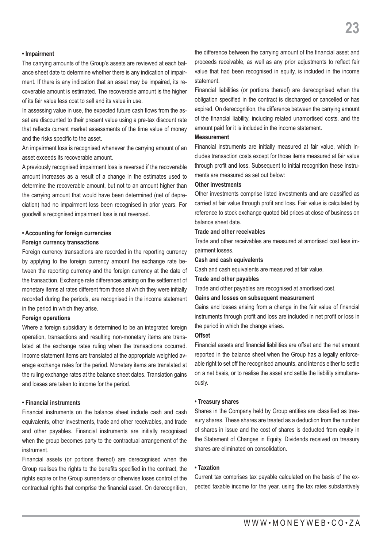#### **• Impairment**

The carrying amounts of the Group's assets are reviewed at each balance sheet date to determine whether there is any indication of impairment. If there is any indication that an asset may be impaired, its recoverable amount is estimated. The recoverable amount is the higher of its fair value less cost to sell and its value in use.

In assessing value in use, the expected future cash flows from the asset are discounted to their present value using a pre-tax discount rate that reflects current market assessments of the time value of money and the risks specific to the asset.

An impairment loss is recognised whenever the carrying amount of an asset exceeds its recoverable amount.

A previously recognised impairment loss is reversed if the recoverable amount increases as a result of a change in the estimates used to determine the recoverable amount, but not to an amount higher than the carrying amount that would have been determined (net of depreciation) had no impairment loss been recognised in prior years. For goodwill a recognised impairment loss is not reversed.

#### **\* Accounting for foreign currencies Foreign currency transactions**

### Foreign currency transactions are recorded in the reporting currency by applying to the foreign currency amount the exchange rate between the reporting currency and the foreign currency at the date of the transaction. Exchange rate differences arising on the settlement of monetary items at rates different from those at which they were initially

recorded during the periods, are recognised in the income statement in the period in which they arise.

#### **Foreign operations**

Where a foreign subsidiary is determined to be an integrated foreign operation, transactions and resulting non-monetary items are translated at the exchange rates ruling when the transactions occurred. Income statement items are translated at the appropriate weighted average exchange rates for the period. Monetary items are translated at the ruling exchange rates at the balance sheet dates. Translation gains and losses are taken to income for the period.

#### **• Financial instruments**

Financial instruments on the balance sheet include cash and cash equivalents, other investments, trade and other receivables, and trade and other pavables. Financial instruments are initially recognised when the group becomes party to the contractual arrangement of the instrument.

Financial assets (or portions thereof) are derecognised when the Group realises the rights to the benefits specified in the contract, the rights expire or the Group surrenders or otherwise loses control of the contractual rights that comprise the financial asset. On derecognition, the difference between the carrying amount of the financial asset and proceeds receivable, as well as any prior adjustments to reflect fair value that had been recognised in equity, is included in the income statement.

Financial liabilities (or portions thereof) are derecognised when the obligation specified in the contract is discharged or cancelled or has expired. On derecognition, the difference between the carrying amount of the financial liability, including related unamortised costs, and the amount paid for it is included in the income statement.

#### **Measurement**

Financial instruments are initially measured at fair value, which includes transaction costs except for those items measured at fair value through profit and loss. Subsequent to initial recognition these instruments are measured as set out below:

#### **20ther investments**

Other investments comprise listed investments and are classified as carried at fair value through profit and loss. Fair value is calculated by reference to stock exchange quoted bid prices at close of business on balance sheet date.

#### **Trade and other receivables**

Trade and other receivables are measured at amortised cost less impairment losses.

#### **Cash and cash equivalents**

Cash and cash equivalents are measured at fair value.

#### **Trade and other payables**

Trade and other payables are recognised at amortised cost.

#### **Gains and losses on subsequent measurement**

Gains and losses arising from a change in the fair value of financial instruments through profit and loss are included in net profit or loss in the period in which the change arises.

#### **Offset**

Financial assets and financial liabilities are offset and the net amount reported in the balance sheet when the Group has a legally enforceable right to set off the recognised amounts, and intends either to settle on a net basis, or to realise the asset and settle the liability simultaneously.

#### **• Treasury shares**

Shares in the Company held by Group entities are classified as treasury shares. These shares are treated as a deduction from the number of shares in issue and the cost of shares is deducted from equity in the Statement of Changes in Equity. Dividends received on treasury shares are eliminated on consolidation.

#### **• Taxation**

Current tax comprises tax payable calculated on the basis of the expected taxable income for the year, using the tax rates substantively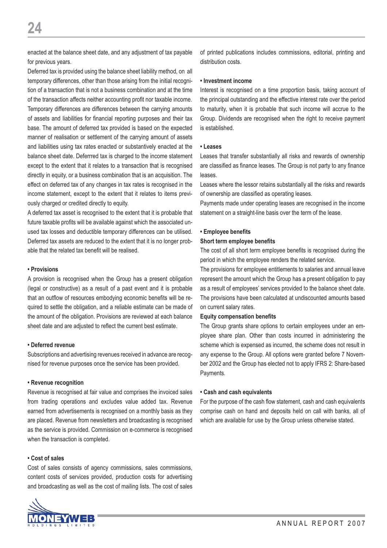enacted at the balance sheet date, and any adjustment of tax payable for previous years.

Deferred tax is provided using the balance sheet liability method, on all temporary differences, other than those arising from the initial recognition of a transaction that is not a business combination and at the time of the transaction affects neither accounting profit nor taxable income. Temporary differences are differences between the carrying amounts of assets and liabilities for financial reporting purposes and their tax base. The amount of deferred tax provided is based on the expected manner of realisation or settlement of the carrying amount of assets and liabilities using tax rates enacted or substantively enacted at the balance sheet date. Deferrred tax is charged to the income statement except to the extent that it relates to a transaction that is recognised directly in equity, or a business combination that is an acquisition. The effect on deferred tax of any changes in tax rates is recognised in the income statement, except to the extent that it relates to items previously charged or credited directly to equity.

A deferred tax asset is recognised to the extent that it is probable that future taxable profits will be available against which the associated unused tax losses and deductible temporary differences can be utilised. Deferred tax assets are reduced to the extent that it is no longer probable that the related tax benefit will be realised.

#### **• Provisions**

A provision is recognised when the Group has a present obligation (legal or constructive) as a result of a past event and it is probable that an outflow of resources embodying economic benefits will be required to settle the obligation, and a reliable estimate can be made of the amount of the obligation. Provisions are reviewed at each balance sheet date and are adjusted to reflect the current best estimate.

#### **• Deferred revenue**

Subscriptions and advertising revenues received in advance are recognised for revenue purposes once the service has been provided.

#### **• Revenue recognition**

Revenue is recognised at fair value and comprises the invoiced sales from trading operations and excludes value added tax. Revenue earned from advertisements is recognised on a monthly basis as they are placed. Revenue from newsletters and broadcasting is recognised as the service is provided. Commission on e-commerce is recognised when the transaction is completed.

#### **Cost of sales**

Cost of sales consists of agency commissions, sales commissions, content costs of services provided, production costs for advertising and broadcasting as well as the cost of mailing lists. The cost of sales



of printed publications includes commissions, editorial, printing and distribution costs.

#### **• Investment income**

Interest is recognised on a time proportion basis, taking account of the principal outstanding and the effective interest rate over the period to maturity, when it is probable that such income will accrue to the Group. Dividends are recognised when the right to receive payment is established.

#### **·Leases**

Leases that transfer substantially all risks and rewards of ownership are classified as finance leases. The Group is not party to any finance leases.

Leases where the lessor retains substantially all the risks and rewards of ownership are classified as operating leases.

Payments made under operating leases are recognised in the income statement on a straight-line basis over the term of the lease.

#### **• Employee benefits**

#### **Short term employee benefits**

The cost of all short term employee benefits is recognised during the period in which the employee renders the related service.

The provisions for employee entitlements to salaries and annual leave represent the amount which the Group has a present obligation to pay as a result of employees' services provided to the balance sheet date. The provisions have been calculated at undiscounted amounts based on current salary rates.

#### **Equity compensation benefits**

The Group grants share options to certain employees under an employee share plan. Other than costs incurred in administering the scheme which is expensed as incurred, the scheme does not result in any expense to the Group. All options were granted before 7 November 2002 and the Group has elected not to apply IFRS 2: Share-based Payments.

#### **• Cash and cash equivalents**

For the purpose of the cash flow statement, cash and cash equivalents comprise cash on hand and deposits held on call with banks, all of which are available for use by the Group unless otherwise stated.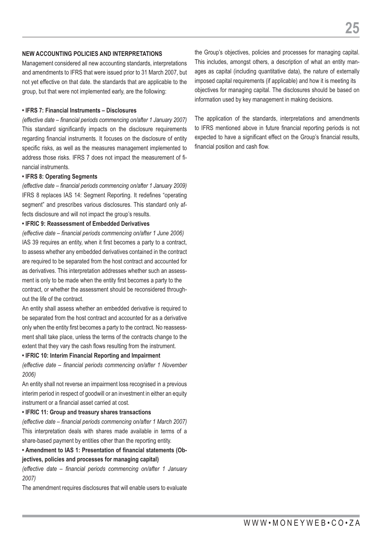#### NEW ACCOUNTING POLICIES AND INTERPRETATIONS

Management considered all new accounting standards, interpretations and amendments to IFRS that were issued prior to 31 March 2007, but not yet effective on that date. the standards that are applicable to the group, but that were not implemented early, are the following:

#### • IFRS 7: Financial Instruments - Disclosures

(effective date – financial periods commencing on/after 1 January 2007) This standard significantly impacts on the disclosure requirements regarding financial instruments. It focuses on the disclosure of entity specific risks, as well as the measures management implemented to address those risks. IFRS 7 does not impact the measurement of financial instruments.

#### • IFRS 8: Operating Segments

(effective date – financial periods commencing on/after 1 January 2009) IFRS 8 replaces IAS 14: Segment Reporting. It redefines "operating segment" and prescribes various disclosures. This standard only affects disclosure and will not impact the group's results.

#### • IFRIC 9: Reassessment of Embedded Derivatives

(effective date – financial periods commencing on/after 1 June 2006) IAS 39 requires an entity, when it first becomes a party to a contract, to assess whether any embedded derivatives contained in the contract are required to be separated from the host contract and accounted for as derivatives. This interpretation addresses whether such an assessment is only to be made when the entity first becomes a party to the contract, or whether the assessment should be reconsidered throughout the life of the contract.

An entity shall assess whether an embedded derivative is required to be separated from the host contract and accounted for as a derivative only when the entity first becomes a party to the contract. No reassessment shall take place, unless the terms of the contracts change to the extent that they vary the cash flows resulting from the instrument.

#### • IFRIC 10: Interim Financial Reporting and Impairment

(effective date – financial periods commencing on/after 1 November 2006)

An entity shall not reverse an impairment loss recognised in a previous interim period in respect of goodwill or an investment in either an equity instrument or a financial asset carried at cost.

#### • IFRIC 11: Group and treasury shares transactions

(effective date – financial periods commencing on/after 1 March 2007) This interpretation deals with shares made available in terms of a share-based payment by entities other than the reporting entity.

#### • Amendment to IAS 1: Presentation of financial statements (Objectives, policies and processes for managing capital)

(effective date – financial periods commencing on/after 1 January 2007)

The amendment requires disclosures that will enable users to evaluate

the Group's objectives, policies and processes for managing capital. This includes, amongst others, a description of what an entity manages as capital (including quantitative data), the nature of externally imposed capital requirements (if applicable) and how it is meeting its objectives for managing capital. The disclosures should be based on information used by key management in making decisions.

The application of the standards, interpretations and amendments to IFRS mentioned above in future financial reporting periods is not expected to have a significant effect on the Group's financial results, financial position and cash flow.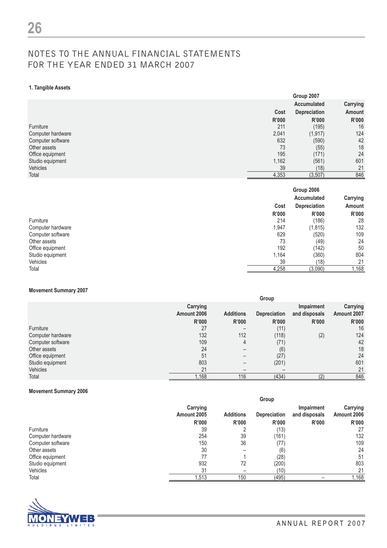## NOTES TO THE ANNUAL FINANCIAL STATEMENTS FOR THE YEAR ENDED 31 MARCH 2007

#### **1. Tangible Assets**

|                   |       | Group 2007          |          |
|-------------------|-------|---------------------|----------|
|                   |       | <b>Accumulated</b>  | Carrying |
|                   | Cost  | <b>Depreciation</b> | Amount   |
|                   | R'000 | R'000               | R'000    |
| Furniture         | 211   | (195)               | 16       |
| Computer hardware | 2,041 | (1, 917)            | 124      |
| Computer software | 632   | (590)               | 42       |
| Other assets      | 73    | (55)                | 18       |
| Office equipment  | 195   | (171)               | 24       |
| Studio equipment  | 1,162 | (561)               | 601      |
| Vehicles          | 39    | (18)                | 21       |
| Total             | 4,353 | (3,507)             | 846      |

|                   | Group 2006 |                     |        |  |
|-------------------|------------|---------------------|--------|--|
|                   |            | Carrying            |        |  |
|                   | Cost       | <b>Depreciation</b> | Amount |  |
|                   | R'000      | R'000               | R'000  |  |
| Furniture         | 214        | (186)               | 28     |  |
| Computer hardware | 1,947      | (1, 815)            | 132    |  |
| Computer software | 629        | (520)               | 109    |  |
| Other assets      | 73         | (49)                | 24     |  |
| Office equipment  | 192        | (142)               | 50     |  |
| Studio equipment  | 1,164      | (360)               | 804    |  |
| <b>Vehicles</b>   | 39         | (18)                | 21     |  |
| Total             | 4,258      | (3,090)             | 1,168  |  |

#### **Movement Summary 2007**

|                   |                         |                  | Group               |                                    |                         |
|-------------------|-------------------------|------------------|---------------------|------------------------------------|-------------------------|
|                   | Carrying<br>Amount 2006 | <b>Additions</b> | <b>Depreciation</b> | <b>Impairment</b><br>and disposals | Carrying<br>Amount 2007 |
|                   | R'000                   | <b>R'000</b>     | R'000               | R'000                              | R'000                   |
| Furniture         | 27                      |                  | (11)                |                                    | 16                      |
| Computer hardware | 132                     | 112              | (118)               | (2)                                | 124                     |
| Computer software | 109                     | 4                | (71)                |                                    | 42                      |
| Other assets      | 24                      |                  | (6)                 |                                    | 18                      |
| Office equipment  | 51                      |                  | (27)                |                                    | 24                      |
| Studio equipment  | 803                     |                  | (201)               |                                    | 601                     |
| Vehicles          | 21                      |                  |                     |                                    | 21                      |
| Total             | .168                    | 116              | (434)               | (2)                                | 846                     |

#### **Movement Summary 2006**

|                   |                         |                  | Group               |                             |                         |
|-------------------|-------------------------|------------------|---------------------|-----------------------------|-------------------------|
|                   | Carrying<br>Amount 2005 | <b>Additions</b> | <b>Depreciation</b> | Impairment<br>and disposals | Carrying<br>Amount 2006 |
|                   | R'000                   | R'000            | R'000               | R'000                       | R'000                   |
| Furniture         | 39                      |                  | (13)                |                             | 27                      |
| Computer hardware | 254                     | 39               | (161)               |                             | 132                     |
| Computer software | 150                     | 36               | (77)                |                             | 109                     |
| Other assets      | 30                      |                  | (6)                 |                             | 24                      |
| Office equipment  | 77                      |                  | (28)                |                             | 51                      |
| Studio equipment  | 932                     | 72               | (200)               |                             | 803                     |
| <b>Vehicles</b>   | 31                      |                  | (10)                |                             | 21                      |
| Total             | 1,513                   | 150              | (495)               |                             | 1,168                   |

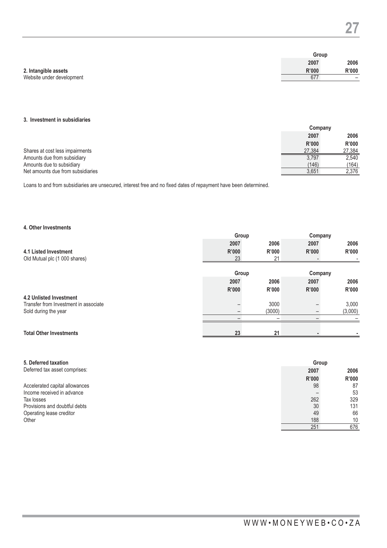|                           | Group |              |
|---------------------------|-------|--------------|
|                           | 2007  | 2006         |
| 2. Intangible assets      | R'000 | <b>R'000</b> |
| Website under development | 67    |              |

#### 3. Investment in subsidiaries

|                                   | Company |        |
|-----------------------------------|---------|--------|
|                                   | 2007    | 2006   |
|                                   | R'000   | R'000  |
| Shares at cost less impairments   | 27,384  | 27,384 |
| Amounts due from subsidiary       | 3.797   | 2.540  |
| Amounts due to subsidiary         | (146)   | (164)  |
| Net amounts due from subsidiaries | 3.651   | 2.376  |

Loans to and from subsidiaries are unsecured, interest free and no fixed dates of repayment have been determined.

#### **4. Other Investments**

|                                       | Group |        | Company      |         |  |
|---------------------------------------|-------|--------|--------------|---------|--|
|                                       | 2007  | 2006   | 2007         | 2006    |  |
| 4.1 Listed Investment                 | R'000 | R'000  | <b>R'000</b> | R'000   |  |
| Old Mutual plc (1 000 shares)         | 23    | 21     |              |         |  |
|                                       |       |        |              |         |  |
|                                       | Group |        |              | Company |  |
|                                       | 2007  | 2006   | 2007         | 2006    |  |
|                                       | R'000 | R'000  | <b>R'000</b> | R'000   |  |
| 4.2 Unlisted Investment               |       |        |              |         |  |
| Transfer from Investment in associate |       | 3000   |              | 3,000   |  |
| Sold during the year                  |       | (3000) |              | (3,000) |  |
|                                       |       |        |              |         |  |
|                                       |       |        |              |         |  |
| <b>Total Other Investments</b>        | 23    | 21     |              |         |  |

| 5. Deferred taxation           | Group |                 |
|--------------------------------|-------|-----------------|
| Deferred tax asset comprises:  | 2007  | 2006            |
|                                | R'000 | R'000           |
| Accelerated capital allowances | 98    | 87              |
| Income received in advance     |       | 53              |
| Tax losses                     | 262   | 329             |
| Provisions and doubtful debts  | 30    | 131             |
| Operating lease creditor       | 49    | 66              |
| Other                          | 188   | 10 <sup>°</sup> |
|                                | 251   | 676             |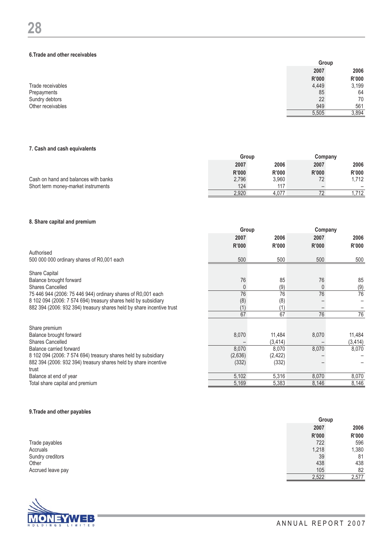#### 6. Trade and other receivables

|                   | Group |       |
|-------------------|-------|-------|
|                   | 2007  | 2006  |
|                   | R'000 | R'000 |
| Trade receivables | 4,449 | 3,199 |
| Prepayments       | 85    | 64    |
| Sundry debtors    | 22    | 70    |
| Other receivables | 949   | 561   |
|                   | 5,505 | 3,894 |

#### **7. Cash and cash equivalents**

|                                      |       | Group |       | Companv |  |
|--------------------------------------|-------|-------|-------|---------|--|
|                                      | 2007  | 2006  | 2007  | 2006    |  |
|                                      | R'000 | R'000 | R'000 | R'000   |  |
| Cash on hand and balances with banks | 2,796 | 3.960 |       | 1,712   |  |
| Short term money-market instruments  | 124   | 117   |       |         |  |
|                                      | 2,920 | 4.077 |       |         |  |

#### **8. Share capital and premium**

|                                                                       | Group         |               |               | Company         |  |
|-----------------------------------------------------------------------|---------------|---------------|---------------|-----------------|--|
|                                                                       | 2007<br>R'000 | 2006<br>R'000 | 2007<br>R'000 | 2006<br>R'000   |  |
| Authorised                                                            |               |               |               |                 |  |
| 500 000 000 ordinary shares of R0,001 each                            | 500           | 500           | 500           | 500             |  |
| Share Capital                                                         |               |               |               |                 |  |
| Balance brought forward                                               | 76            | 85            | 76            | 85              |  |
| <b>Shares Cancelled</b>                                               | 0             | (9)           | $\mathbf{0}$  | (9)             |  |
| 75 446 944 (2006: 75 446 944) ordinary shares of R0,001 each          | 76            | 76            | 76            | 76              |  |
| 8 102 094 (2006: 7 574 694) treasury shares held by subsidiary        | (8)           | (8)           |               |                 |  |
| 882 394 (2006: 932 394) treasury shares held by share incentive trust | (1)           | (1)           |               |                 |  |
|                                                                       | 67            | 67            | 76            | $\overline{76}$ |  |
| Share premium                                                         |               |               |               |                 |  |
| Balance brought forward                                               | 8,070         | 11,484        | 8,070         | 11,484          |  |
| <b>Shares Cancelled</b>                                               |               | (3, 414)      |               | (3, 414)        |  |
| Balance carried forward                                               | 8,070         | 8,070         | 8,070         | 8,070           |  |
| 8 102 094 (2006: 7 574 694) treasury shares held by subsidiary        | (2,636)       | (2, 422)      |               |                 |  |
| 882 394 (2006: 932 394) treasury shares held by share incentive       | (332)         | (332)         |               |                 |  |
| trust                                                                 |               |               |               |                 |  |
| Balance at end of year                                                | 5,102         | 5,316         | 8,070         | 8,070           |  |
| Total share capital and premium                                       | 5,169         | 5,383         | 8,146         | 8,146           |  |

#### 9. Trade and other payables

|                   |       | Group |  |
|-------------------|-------|-------|--|
|                   | 2007  | 2006  |  |
|                   | R'000 | R'000 |  |
| Trade payables    | 722   | 596   |  |
| Accruals          | 1,218 | ,380  |  |
| Sundry creditors  | 39    | 81    |  |
| Other             | 438   | 438   |  |
| Accrued leave pay | 105   | 82    |  |
|                   | 2,522 | 2,577 |  |

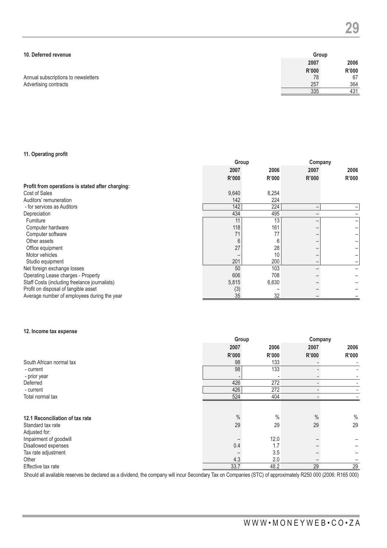#### **10.** Deferred revenue **of the contract of the contract of the contract of the contract of the contract of the contract of the contract of the contract of the contract of the contract of the contract of the contract of the 2007 2006 R'000 R'000** % Annual subscriptions to newsletters of the contracts of the contracts of the contracts of the contracts of the contracts of the contracts of the contracts of the contracts of the contracts of the contracts of the contrac Advertising contracts 257 and 257 and 257 and 257 and 257 and 257 and 257 and 257 and 257 and 257 and 257 and 257 and 257 and 257 and 257 and 257 and 257 and 258 and 257 and 258 and 258 and 258 and 258 and 258 and 258 and  $\frac{1}{431}$

#### **11. Operating profit**

|                                                  | Group |       |       | Company |  |
|--------------------------------------------------|-------|-------|-------|---------|--|
|                                                  | 2007  | 2006  | 2007  | 2006    |  |
|                                                  | R'000 | R'000 | R'000 | R'000   |  |
| Profit from operations is stated after charging: |       |       |       |         |  |
| Cost of Sales                                    | 9,640 | 8,254 |       |         |  |
| Auditors' remuneration                           | 142   | 224   |       |         |  |
| - for services as Auditors                       | 142   | 224   |       |         |  |
| Depreciation                                     | 434   | 495   |       |         |  |
| Furniture                                        | 11    | 13    |       |         |  |
| Computer hardware                                | 118   | 161   |       |         |  |
| Computer software                                | 71    | 77    |       |         |  |
| Other assets                                     |       | 6     |       |         |  |
| Office equipment                                 | 27    | 28    |       |         |  |
| Motor vehicles                                   |       | 10    |       |         |  |
| Studio equipment                                 | 201   | 200   |       |         |  |
| Net foreign exchange losses                      | 50    | 103   |       |         |  |
| Operating Lease charges - Property               | 606   | 708   |       |         |  |
| Staff Costs (including freelance journalists)    | 5,815 | 6,630 |       |         |  |
| Profit on disposal of tangible asset             | (3)   |       |       |         |  |
| Average number of employees during the year      | 35    | 32    |       |         |  |

#### 12. Income tax expense

|                                 | Group |       |                          | Company |  |
|---------------------------------|-------|-------|--------------------------|---------|--|
|                                 | 2007  | 2006  | 2007                     | 2006    |  |
|                                 | R'000 | R'000 | R'000                    | R'000   |  |
| South African normal tax        | 98    | 133   |                          |         |  |
| - current                       | 98    | 133   |                          |         |  |
| - prior year                    |       |       |                          |         |  |
| Deferred                        | 426   | 272   | $\overline{\phantom{a}}$ |         |  |
| - current                       | 426   | 272   | Ξ.                       |         |  |
| Total normal tax                | 524   | 404   | ٠.                       |         |  |
|                                 |       |       |                          |         |  |
| 12.1 Reconciliation of tax rate | $\%$  | $\%$  | $\%$                     | $\%$    |  |
| Standard tax rate               | 29    | 29    | 29                       | 29      |  |
| Adjusted for:                   |       |       |                          |         |  |
| Impairment of goodwill          |       | 12.0  |                          |         |  |
| Disallowed expenses             | 0.4   | 1.7   |                          |         |  |
| Tax rate adjustment             |       | 3.5   |                          |         |  |
| Other                           | 4.3   | 2.0   |                          |         |  |
| Effective tax rate              | 33.7  | 48.2  | 29                       | 29      |  |

Should all available reserves be declared as a dividend, the company will incur Secondary Tax on Companies (STC) of approximately R250 000 (2006: R165 000)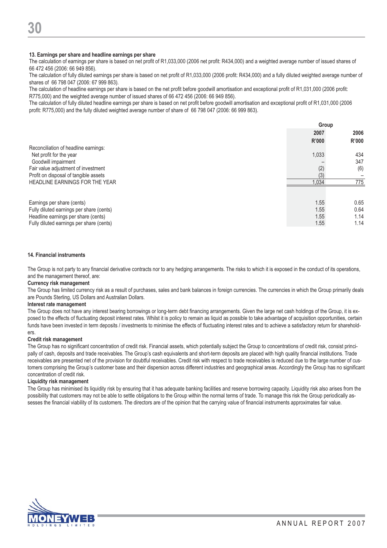#### 13. Earnings per share and headline earnings per share

The calculation of earnings per share is based on net profit of R1,033,000 (2006 net profit: R434,000) and a weighted average number of issued shares of 66 472 456 (2006: 66 949 856).

The calculation of fully diluted earnings per share is based on net profit of R1,033,000 (2006 profit: R434,000) and a fully diluted weighted average number of shares of 66 798 047 (2006: 67 999 863).

The calculation of headline earnings per share is based on the net profit before goodwill amortisation and exceptional profit of R1,031,000 (2006 profit: R775,000) and the weighted average number of issued shares of 66 472 456 (2006: 66 949 856).

The calculation of fully diluted headline earnings per share is based on net profit before goodwill amortisation and exceptional profit of R1,031,000 (2006 profit: R775,000) and the fully diluted weighted average number of share of 66 798 047 (2006: 66 999 863).

| 2007<br>R'000                                    |       |
|--------------------------------------------------|-------|
|                                                  | 2006  |
|                                                  | R'000 |
| Reconciliation of headline earnings:             |       |
| 1,033<br>Net profit for the year                 | 434   |
| Goodwill impairment                              | 347   |
| Fair value adjustment of investment<br>(2)       | (6)   |
| Profit on disposal of tangible assets<br>(3)     |       |
| HEADLINE EARNINGS FOR THE YEAR<br>1,034          | 775   |
|                                                  |       |
| 1.55<br>Earnings per share (cents)               | 0.65  |
| Fully diluted earnings per share (cents)<br>1.55 | 0.64  |
| Headline earnings per share (cents)<br>1.55      | 1.14  |
| Fully diluted earnings per share (cents)<br>1.55 | 1.14  |

#### 14 **Financial instruments**

The Group is not party to any financial derivative contracts nor to any hedging arrangements. The risks to which it is exposed in the conduct of its operations, and the management thereof, are:

#### **Currency risk management**

The Group has limited currency risk as a result of purchases, sales and bank balances in foreign currencies. The currencies in which the Group primarily deals are Pounds Sterling, US Dollars and Australian Dollars.

#### **Interest rate management**

The Group does not have any interest bearing borrowings or long-term debt financing arrangements. Given the large net cash holdings of the Group, it is exposed to the effects of fluctuating deposit interest rates. Whilst it is policy to remain as liquid as possible to take advantage of acquisition opportunities, certain funds have been invested in term deposits / investments to minimise the effects of fluctuating interest rates and to achieve a satisfactory return for shareholders.

#### **Credit risk management**

The Group has no significant concentration of credit risk. Financial assets, which potentially subject the Group to concentrations of credit risk, consist principally of cash, deposits and trade receivables. The Group's cash equivalents and short-term deposits are placed with high quality financial institutions. Trade receivables are presented net of the provision for doubtful receivables. Credit risk with respect to trade receivables is reduced due to the large number of customers comprising the Group's customer base and their dispersion across different industries and geographical areas. Accordingly the Group has no significant concentration of credit risk.

#### Liquidity risk management

The Group has minimised its liquidity risk by ensuring that it has adequate banking facilities and reserve borrowing capacity. Liquidity risk also arises from the possibility that customers may not be able to settle obligations to the Group within the normal terms of trade. To manage this risk the Group periodically assesses the financial viability of its customers. The directors are of the opinion that the carrying value of financial instruments approximates fair value.

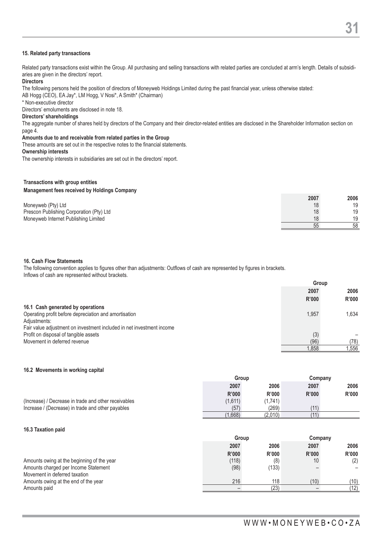#### **15. Related party transactions**

Related party transactions exist within the Group. All purchasing and selling transactions with related parties are concluded at arm's length. Details of subsidiaries are given in the directors' report.

#### Directors

The following persons held the position of directors of Moneyweb Holdings Limited during the past financial year, unless otherwise stated:

AB Hogg (CEO), EA Jay\*, LM Hogg, V Nosi\*, A Smith\* (Chairman)

### \* Non-executive director

Directors' emoluments are disclosed in note 18.

#### Directors' shareholdings

The aggregate number of shares held by directors of the Company and their director-related entities are disclosed in the Shareholder Information section on page 4.

#### Amounts due to and receivable from related parties in the Group

These amounts are set out in the respective notes to the financial statements.

#### **Ownership interests**

The ownership interests in subsidiaries are set out in the directors' report.

#### **Transactions with group entities Management fees received by Holdings Company**

|                                          | 2007 | 2006 |
|------------------------------------------|------|------|
| Moneyweb (Pty) Ltd                       | 18   | 19   |
| Prescon Publishing Corporation (Pty) Ltd | 18   | 19   |
| Moneyweb Internet Publishing Limited     | 18   | 19   |
|                                          | 55   | 58   |

#### **16. Cash Flow Statements**

The following convention applies to figures other than adjustments: Outflows of cash are represented by figures in brackets. Inflows of cash are represented without brackets.

|                                                                       | Group                 |       |
|-----------------------------------------------------------------------|-----------------------|-------|
|                                                                       | 2007<br>2006<br>R'000 |       |
|                                                                       |                       | R'000 |
| 16.1 Cash generated by operations                                     |                       |       |
| Operating profit before depreciation and amortisation                 | 1.957                 | 1.634 |
| Adjustments:                                                          |                       |       |
| Fair value adjustment on investment included in net investment income |                       |       |
| Profit on disposal of tangible assets                                 | (3)                   |       |
| Movement in deferred revenue                                          | (96)                  | (78)  |
|                                                                       | 1.858                 | .556  |

#### **16.2 Movements in working capital**

|                                                      | Group   |         | Company |       |
|------------------------------------------------------|---------|---------|---------|-------|
|                                                      | 2007    |         | 2007    | 2006  |
|                                                      | R'000   | R'000   | R'000   | R'000 |
| (Increase) / Decrease in trade and other receivables | (1,611) | (1.741) |         |       |
| Increase / (Decrease) in trade and other payables    | (57)    | (269)   |         |       |
|                                                      | (1,668) | (2,010) |         |       |

#### **16.3 Taxation paid**

|                                            | Group        |       | Company |       |
|--------------------------------------------|--------------|-------|---------|-------|
|                                            | 2007<br>2006 |       | 2007    | 2006  |
|                                            | R'000        | R'000 | R'000   | R'000 |
| Amounts owing at the beginning of the year | (118)        | (8)   | 10      | (2)   |
| Amounts charged per Income Statement       | (98)         | (133) |         |       |
| Movement in deferred taxation              |              |       |         |       |
| Amounts owing at the end of the year       | 216          | 118   | (10)    | (10)  |
| Amounts paid                               |              | (23)  |         | (12)  |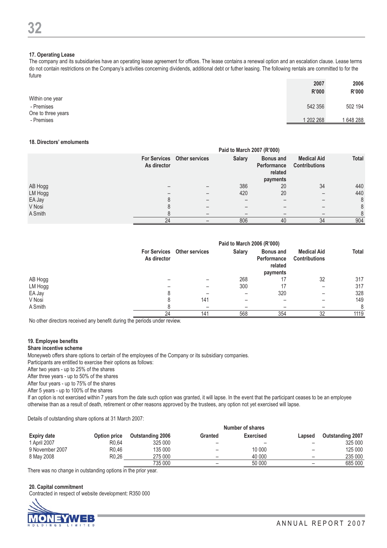#### 17. Operating Lease

The company and its subsidiaries have an operating lease agreement for offices. The lease contains a renewal option and an escalation clause. Lease terms do not contain restrictions on the Company's activities concerning dividends, additional debt or futher leasing. The following rentals are committed to for the future

|                    | 2007      | 2006    |
|--------------------|-----------|---------|
|                    | R'000     | R'000   |
| Within one year    |           |         |
| - Premises         | 542 356   | 502 194 |
| One to three years |           |         |
| - Premises         | 1 202 268 | 648 288 |

#### 18. Directors' emoluments

|         | Paid to March 2007 (R'000)         |                       |                 |                                                        |                                            |       |
|---------|------------------------------------|-----------------------|-----------------|--------------------------------------------------------|--------------------------------------------|-------|
|         | <b>For Services</b><br>As director | <b>Other services</b> | Salary          | Bonus and<br><b>Performance</b><br>related<br>payments | <b>Medical Aid</b><br><b>Contributions</b> | Total |
| AB Hogg |                                    |                       | 386             | 20                                                     | 34                                         | 440   |
| LM Hogg |                                    |                       | 420             | 20                                                     |                                            | 440   |
| EA Jay  |                                    |                       | $\qquad \qquad$ |                                                        |                                            | 8     |
| V Nosi  |                                    |                       | -               |                                                        |                                            | 8     |
| A Smith |                                    |                       |                 |                                                        |                                            | 8     |
|         | 24                                 |                       | 806             | 40                                                     | 34                                         | 904   |

|         |                                    | Paid to March 2006 (R'000) |        |                                                        |                                            |              |
|---------|------------------------------------|----------------------------|--------|--------------------------------------------------------|--------------------------------------------|--------------|
|         | <b>For Services</b><br>As director | <b>Other services</b>      | Salary | <b>Bonus and</b><br>Performance<br>related<br>payments | <b>Medical Aid</b><br><b>Contributions</b> | <b>Total</b> |
| AB Hogg |                                    |                            | 268    | 17                                                     | 32                                         | 317          |
| LM Hogg |                                    |                            | 300    | 17                                                     | -                                          | 317          |
| EA Jay  | 8                                  |                            | -      | 320                                                    | -                                          | 328          |
| V Nosi  | 8                                  | 141                        | -      |                                                        |                                            | 149          |
| A Smith | 8                                  |                            |        |                                                        |                                            | 8            |
|         | 24                                 | 141                        | 568    | 354                                                    | 32                                         | 1119         |

No other directors received any benefit during the periods under review.

#### 19. Employee benefits

#### Share incentive scheme

Moneyweb offers share options to certain of the employees of the Company or its subsidiary companies.

Participants are entitled to exercise their options as follows:

After two years - up to 25% of the shares

After three years - up to 50% of the shares

After four years - up to 75% of the shares

After 5 years - up to 100% of the shares

If an option is not exercised within 7 years from the date such option was granted, it will lapse. In the event that the participant ceases to be an employee otherwise than as a result of death, retirement or other reasons approved by the trustees, any option not yet exercised will lapse.

Details of outstanding share options at 31 March 2007:

| <b>Expiry date</b> | Number of shares    |                         |         |                  |        |                         |  |
|--------------------|---------------------|-------------------------|---------|------------------|--------|-------------------------|--|
|                    | <b>Option price</b> | <b>Outstanding 2006</b> | Granted | <b>Exercised</b> | Lapsed | <b>Outstanding 2007</b> |  |
| 1 April 2007       | R <sub>0.64</sub>   | 325 000                 |         |                  |        | 325 000                 |  |
| 9 November 2007    | R <sub>0.46</sub>   | 135 000                 |         | 10 000           | -      | 125 000                 |  |
| 8 May 2008         | R0.26               | 275 000                 | -       | 40 000           | -      | 235 000                 |  |
|                    |                     | 735 000                 |         | 50 000           | -      | 685 000                 |  |

There was no change in outstanding options in the prior year.

#### 20. Capital commitment

Contracted in respect of website development: R350 000

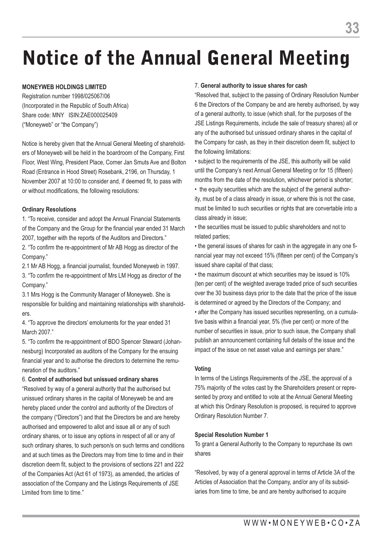# Notice of the Annual General Meeting

#### **MONEYWEB HOLDINGS LIMITED**

Registration number 1998/025067/06 (Incorporated in the Republic of South Africa) Share code: MNY ISIN:ZAE000025409 ("Moneyweb" or "the Company")

Notice is hereby given that the Annual General Meeting of shareholders of Moneyweb will be held in the boardroom of the Company, First Floor, West Wing, President Place, Corner Jan Smuts Ave and Bolton Road (Entrance in Hood Street) Rosebank, 2196, on Thursday, 1 November 2007 at 10:00 to consider and, if deemed fit, to pass with or without modifications, the following resolutions:

#### **2Drdinary Resolutions**

1. "To receive, consider and adopt the Annual Financial Statements of the Company and the Group for the financial year ended 31 March 2007, together with the reports of the Auditors and Directors."

2. "To confirm the re-appointment of Mr AB Hogg as director of the Company."

2.1 Mr AB Hogg, a financial journalist, founded Moneyweb in 1997. 3. "To confirm the re-appointment of Mrs LM Hogg as director of the Company."

3.1 Mrs Hogg is the Community Manager of Moneyweb. She is responsible for building and maintaining relationships with shareholders.

4. "To approve the directors' emoluments for the year ended 31 March 2007."

5. "To confirm the re-appointment of BDO Spencer Steward (Johannesburg) Incorporated as auditors of the Company for the ensuing financial vear and to authorise the directors to determine the remuneration of the auditors."

#### 6. Control of authorised but unissued ordinary shares

"Resolved by way of a general authority that the authorised but unissued ordinary shares in the capital of Moneyweb be and are hereby placed under the control and authority of the Directors of the company ("Directors") and that the Directors be and are hereby authorised and empowered to allot and issue all or any of such ordinary shares, or to issue any options in respect of all or any of such ordinary shares, to such person/s on such terms and conditions and at such times as the Directors may from time to time and in their discretion deem fit, subject to the provisions of sections 221 and 222 of the Companies Act (Act 61 of 1973), as amended, the articles of association of the Company and the Listings Requirements of JSE Limited from time to time."

#### **7. General authority to issue shares for cash**

"Resolved that, subject to the passing of Ordinary Resolution Number 6 the Directors of the Company be and are hereby authorised, by way of a general authority, to issue (which shall, for the purposes of the JSE Listings Requirements, include the sale of treasury shares) all or any of the authorised but unissued ordinary shares in the capital of the Company for cash, as they in their discretion deem fit, subject to the following limitations:

• subject to the requirements of the JSE, this authority will be valid until the Company's next Annual General Meeting or for 15 (fifteen) months from the date of the resolution, whichever period is shorter;

- the equity securities which are the subject of the general authority, must be of a class already in issue, or where this is not the case, must be limited to such securities or rights that are convertable into a class already in issue;
- the securities must be issued to public shareholders and not to related parties:

• the general issues of shares for cash in the aggregate in any one financial year may not exceed 15% (fifteen per cent) of the Company's issued share capital of that class:

• the maximum discount at which securities may be issued is 10% (ten per cent) of the weighted average traded price of such securities over the 30 business days prior to the date that the price of the issue is determined or agreed by the Directors of the Company; and • after the Company has issued securities representing, on a cumulative basis within a financial year, 5% (five per cent) or more of the number of securities in issue, prior to such issue, the Company shall publish an announcement containing full details of the issue and the impact of the issue on net asset value and earnings per share."

#### **Voting**

In terms of the Listings Requirements of the JSE, the approval of a 75% majority of the votes cast by the Shareholders present or represented by proxy and entitled to vote at the Annual General Meeting at which this Ordinary Resolution is proposed, is required to approve Ordinary Resolution Number 7.

#### **Special Resolution Number 1**

To grant a General Authority to the Company to repurchase its own shares

"Resolved, by way of a general approval in terms of Article 3A of the Articles of Association that the Company, and/or any of its subsidlaries from time to time, be and are hereby authorised to acquire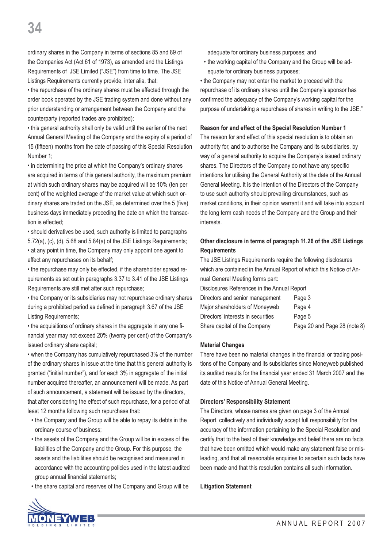ordinary shares in the Company in terms of sections 85 and 89 of the Companies Act (Act 61 of 1973), as amended and the Listings Requirements of JSE Limited ("JSE") from time to time. The JSE Listings Requirements currently provide, inter alia, that:

• the repurchase of the ordinary shares must be effected through the order book operated by the JSE trading system and done without any prior understanding or arrangement between the Company and the counterparty (reported trades are prohibited):

• this general authority shall only be valid until the earlier of the next Annual General Meeting of the Company and the expiry of a period of 15 (fifteen) months from the date of passing of this Special Resolution Number 1:

• in determining the price at which the Company's ordinary shares are acquired in terms of this general authority, the maximum premium at which such ordinary shares may be acquired will be 10% (ten per cent) of the weighted average of the market value at which such ordinary shares are traded on the JSE, as determined over the 5 (five) business days immediately preceding the date on which the transaction is effected;

• should derivatives be used, such authority is limited to paragraphs 5.72(a), (c), (d), 5.68 and 5.84(a) of the JSE Listings Requirements; • at any point in time, the Company may only appoint one agent to effect any repurchases on its behalf;

• the repurchase may only be effected, if the shareholder spread requirements as set out in paragraphs 3.37 to 3.41 of the JSE Listings Requirements are still met after such repurchase;

• the Company or its subsidiaries may not repurchase ordinary shares during a prohibited period as defined in paragraph 3.67 of the JSE Listing Requirements;

• the acquisitions of ordinary shares in the aggregate in any one financial year may not exceed 20% (twenty per cent) of the Company's issued ordinary share capital;

• when the Company has cumulatively repurchased 3% of the number of the ordinary shares in issue at the time that this general authority is granted ("initial number"), and for each 3% in aggregate of the initial number acquired thereafter, an announcement will be made. As part of such announcement, a statement will be issued by the directors, that after considering the effect of such repurchase, for a period of at least 12 months following such repurchase that:

- the Company and the Group will be able to repay its debts in the ordinary course of business;
- the assets of the Company and the Group will be in excess of the liabilities of the Company and the Group. For this purpose, the assets and the liabilities should be recognised and measured in accordance with the accounting policies used in the latest audited group annual financial statements;
- the share capital and reserves of the Company and Group will be



adequate for ordinary business purposes; and

• the working capital of the Company and the Group will be adequate for ordinary business purposes;

• the Company may not enter the market to proceed with the repurchase of its ordinary shares until the Company's sponsor has confirmed the adequacy of the Company's working capital for the purpose of undertaking a repurchase of shares in writing to the JSE."

#### Reason for and effect of the Special Resolution Number 1

The reason for and effect of this special resolution is to obtain an authority for, and to authorise the Company and its subsidiaries, by way of a general authority to acquire the Company's issued ordinary shares. The Directors of the Company do not have any specific intentions for utilising the General Authority at the date of the Annual General Meeting. It is the intention of the Directors of the Company to use such authority should prevailing circumstances, such as market conditions, in their opinion warrant it and will take into account the long term cash needs of the Company and the Group and their interests.

#### Other disclosure in terms of paragraph 11.26 of the JSE Listings **Requirements**

The JSE Listings Requirements require the following disclosures which are contained in the Annual Report of which this Notice of Annual General Meeting forms part:

Disclosures References in the Annual Report

| Directors and senior management    | Page 3                       |
|------------------------------------|------------------------------|
| Major shareholders of Moneyweb     | Page 4                       |
| Directors' interests in securities | Page 5                       |
| Share capital of the Company       | Page 20 and Page 28 (note 8) |

#### **Material Changes**

There have been no material changes in the financial or trading positions of the Company and its subsidiaries since Moneyweb published its audited results for the financial year ended 31 March 2007 and the date of this Notice of Annual General Meeting.

#### **Directors' Responsibility Statement**

The Directors, whose names are given on page 3 of the Annual Report, collectively and individually accept full responsibility for the accuracy of the information pertaining to the Special Resolution and certify that to the best of their knowledge and belief there are no facts that have been omitted which would make any statement false or misleading, and that all reasonable enquiries to ascertain such facts have been made and that this resolution contains all such information.

#### **Litigation Statement**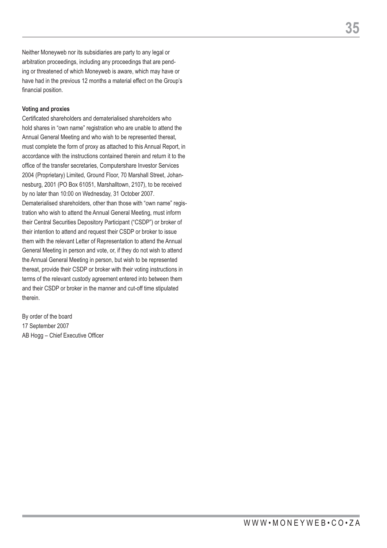Neither Moneyweb nor its subsidiaries are party to any legal or arbitration proceedings, including any proceedings that are pending or threatened of which Moneyweb is aware, which may have or have had in the previous 12 months a material effect on the Group's financial position.

#### **Voting and proxies**

Certificated shareholders and dematerialised shareholders who hold shares in "own name" registration who are unable to attend the Annual General Meeting and who wish to be represented thereat, must complete the form of proxy as attached to this Annual Report, in accordance with the instructions contained therein and return it to the office of the transfer secretaries, Computershare Investor Services 2004 (Proprietary) Limited, Ground Floor, 70 Marshall Street, Johannesburg, 2001 (PO Box 61051, Marshalltown, 2107), to be received by no later than 10:00 on Wednesday, 31 October 2007. Dematerialised shareholders, other than those with "own name" registration who wish to attend the Annual General Meeting, must inform their Central Securities Depository Participant ("CSDP") or broker of their intention to attend and request their CSDP or broker to issue them with the relevant Letter of Representation to attend the Annual General Meeting in person and vote, or, if they do not wish to attend the Annual General Meeting in person, but wish to be represented thereat, provide their CSDP or broker with their voting instructions in terms of the relevant custody agreement entered into between them and their CSDP or broker in the manner and cut-off time stipulated therein.

By order of the board 17 September 2007 AB Hogg - Chief Executive Officer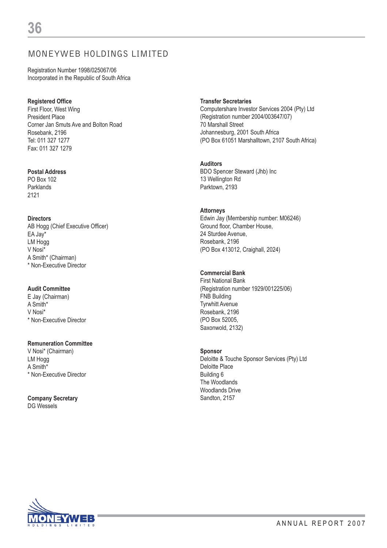### MONEYWEB HOLDINGS LIMITED

Registration Number 1998/025067/06 Incorporated in the Republic of South Africa

#### **Registered Office**

First Floor, West Wing **President Place** Corner Jan Smuts Ave and Bolton Road Rosebank, 2196 Tel: 011 327 1277 Fax: 011 327 1279

#### **Postal Address**

PO Box 102 Parklands 2121

#### **Directors**

AB Hogg (Chief Executive Officer) EA Jay\* LM Hogg V Nosi\* A Smith\* (Chairman) \* Non-Executive Director

#### **Audit Committee**

E Jay (Chairman) A Smith\* V Nosi\* \* Non-Executive Director

#### **Remuneration Committee**

V Nosi\* (Chairman) LM Hogg A Smith\* \* Non-Executive Director

**Company Secretary** DG Wessels

#### **Transfer Secretaries**

Computershare Investor Services 2004 (Pty) Ltd (Registration number 2004/003647/07) 70 Marshall Street Johannesburg, 2001 South Africa (PO Box 61051 Marshalltown, 2107 South Africa)

#### **Auditors**

BDO Spencer Steward (Jhb) Inc 13 Wellington Rd Parktown, 2193

#### **Attorneys**

Edwin Jay (Membership number: M06246) Ground floor, Chamber House, 24 Sturdee Avenue. Rosebank, 2196 (PO Box 413012, Craighall, 2024)

#### **Commercial Bank**

**First National Bank** (Registration number 1929/001225/06) **FNB Building Tyrwhitt Avenue** Rosebank, 2196 (PO Box 52005. Saxonwold, 2132)

#### **Sponsor**

Deloitte & Touche Sponsor Services (Pty) Ltd **Deloitte Place** Building 6 The Woodlands **Woodlands Drive** Sandton, 2157